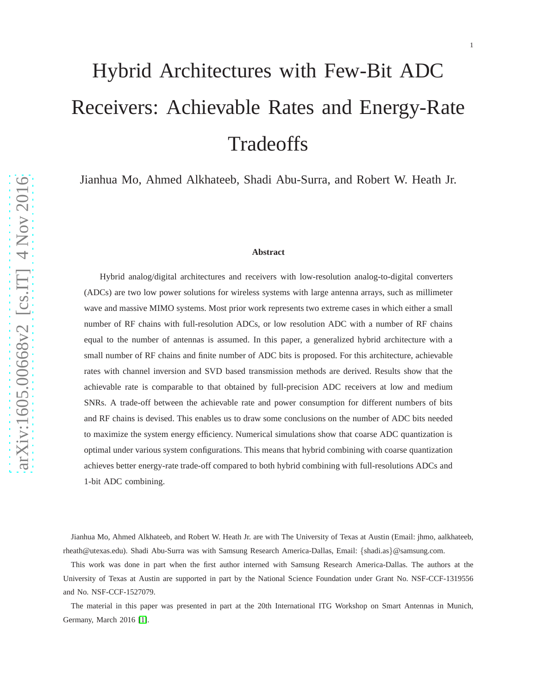# Hybrid Architectures with Few-Bit ADC Receivers: Achievable Rates and Energy-Rate **Tradeoffs**

Jianhua Mo, Ahmed Alkhateeb, Shadi Abu-Surra, and Robert W. Heath Jr.

#### **Abstract**

Hybrid analog/digital architectures and receivers with low-resolution analog-to-digital converters (ADCs) are two low power solutions for wireless systems with large antenna arrays, such as millimeter wave and massive MIMO systems. Most prior work represents two extreme cases in which either a small number of RF chains with full-resolution ADCs, or low resolution ADC with a number of RF chains equal to the number of antennas is assumed. In this paper, a generalized hybrid architecture with a small number of RF chains and finite number of ADC bits is proposed. For this architecture, achievable rates with channel inversion and SVD based transmission methods are derived. Results show that the achievable rate is comparable to that obtained by full-precision ADC receivers at low and medium SNRs. A trade-off between the achievable rate and power consumption for different numbers of bits and RF chains is devised. This enables us to draw some conclusions on the number of ADC bits needed to maximize the system energy efficiency. Numerical simulations show that coarse ADC quantization is optimal under various system configurations. This means that hybrid combining with coarse quantization achieves better energy-rate trade-off compared to both hybrid combining with full-resolutions ADCs and 1-bit ADC combining.

Jianhua Mo, Ahmed Alkhateeb, and Robert W. Heath Jr. are with The University of Texas at Austin (Email: jhmo, aalkhateeb, rheath@utexas.edu). Shadi Abu-Surra was with Samsung Research America-Dallas, Email: {shadi.as}@samsung.com.

This work was done in part when the first author interned with Samsung Research America-Dallas. The authors at the University of Texas at Austin are supported in part by the National Science Foundation under Grant No. NSF-CCF-1319556 and No. NSF-CCF-1527079.

The material in this paper was presented in part at the 20th International ITG Workshop on Smart Antennas in Munich, Germany, March 2016 [\[1\]](#page-26-0).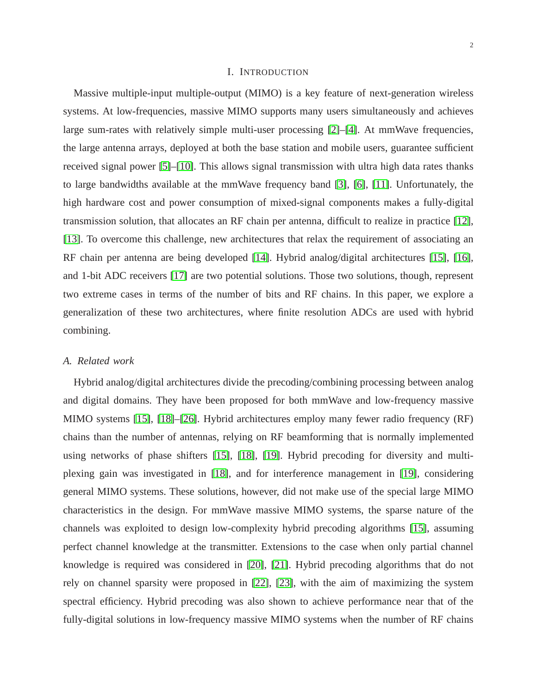# I. INTRODUCTION

Massive multiple-input multiple-output (MIMO) is a key feature of next-generation wireless systems. At low-frequencies, massive MIMO supports many users simultaneously and achieves large sum-rates with relatively simple multi-user processing [\[2\]](#page-26-1)–[\[4\]](#page-26-2). At mmWave frequencies, the large antenna arrays, deployed at both the base station and mobile users, guarantee sufficient received signal power [\[5\]](#page-26-3)–[\[10\]](#page-27-0). This allows signal transmission with ultra high data rates thanks to large bandwidths available at the mmWave frequency band [\[3\]](#page-26-4), [\[6\]](#page-26-5), [\[11\]](#page-27-1). Unfortunately, the high hardware cost and power consumption of mixed-signal components makes a fully-digital transmission solution, that allocates an RF chain per antenna, difficult to realize in practice [\[12\]](#page-27-2), [\[13\]](#page-27-3). To overcome this challenge, new architectures that relax the requirement of associating an RF chain per antenna are being developed [\[14\]](#page-27-4). Hybrid analog/digital architectures [\[15\]](#page-27-5), [\[16\]](#page-27-6), and 1-bit ADC receivers [\[17\]](#page-27-7) are two potential solutions. Those two solutions, though, represent two extreme cases in terms of the number of bits and RF chains. In this paper, we explore a generalization of these two architectures, where finite resolution ADCs are used with hybrid combining.

# *A. Related work*

Hybrid analog/digital architectures divide the precoding/combining processing between analog and digital domains. They have been proposed for both mmWave and low-frequency massive MIMO systems [\[15\]](#page-27-5), [\[18\]](#page-27-8)–[\[26\]](#page-27-9). Hybrid architectures employ many fewer radio frequency (RF) chains than the number of antennas, relying on RF beamforming that is normally implemented using networks of phase shifters [\[15\]](#page-27-5), [\[18\]](#page-27-8), [\[19\]](#page-27-10). Hybrid precoding for diversity and multiplexing gain was investigated in [\[18\]](#page-27-8), and for interference management in [\[19\]](#page-27-10), considering general MIMO systems. These solutions, however, did not make use of the special large MIMO characteristics in the design. For mmWave massive MIMO systems, the sparse nature of the channels was exploited to design low-complexity hybrid precoding algorithms [\[15\]](#page-27-5), assuming perfect channel knowledge at the transmitter. Extensions to the case when only partial channel knowledge is required was considered in [\[20\]](#page-27-11), [\[21\]](#page-27-12). Hybrid precoding algorithms that do not rely on channel sparsity were proposed in [\[22\]](#page-27-13), [\[23\]](#page-27-14), with the aim of maximizing the system spectral efficiency. Hybrid precoding was also shown to achieve performance near that of the fully-digital solutions in low-frequency massive MIMO systems when the number of RF chains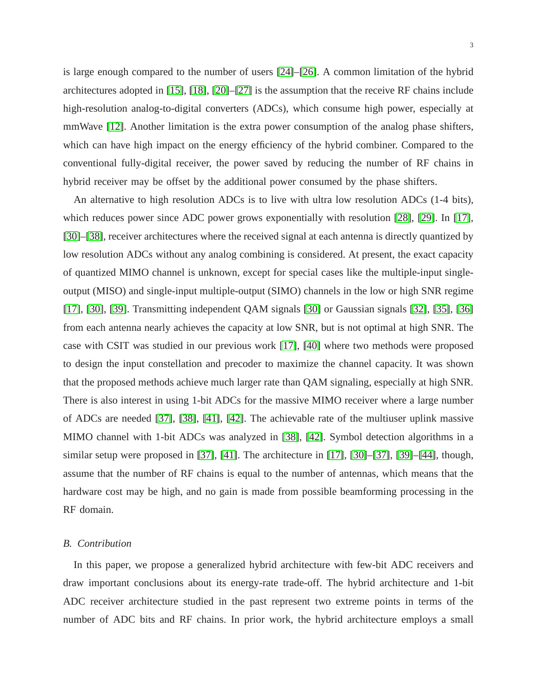is large enough compared to the number of users [\[24\]](#page-27-15)–[\[26\]](#page-27-9). A common limitation of the hybrid architectures adopted in [\[15\]](#page-27-5), [\[18\]](#page-27-8), [\[20\]](#page-27-11)–[\[27\]](#page-27-16) is the assumption that the receive RF chains include high-resolution analog-to-digital converters (ADCs), which consume high power, especially at mmWave [\[12\]](#page-27-2). Another limitation is the extra power consumption of the analog phase shifters, which can have high impact on the energy efficiency of the hybrid combiner. Compared to the conventional fully-digital receiver, the power saved by reducing the number of RF chains in hybrid receiver may be offset by the additional power consumed by the phase shifters.

An alternative to high resolution ADCs is to live with ultra low resolution ADCs (1-4 bits), which reduces power since ADC power grows exponentially with resolution [\[28\]](#page-27-17), [\[29\]](#page-27-18). In [\[17\]](#page-27-7), [\[30\]](#page-28-0)–[\[38\]](#page-28-1), receiver architectures where the received signal at each antenna is directly quantized by low resolution ADCs without any analog combining is considered. At present, the exact capacity of quantized MIMO channel is unknown, except for special cases like the multiple-input singleoutput (MISO) and single-input multiple-output (SIMO) channels in the low or high SNR regime [\[17\]](#page-27-7), [\[30\]](#page-28-0), [\[39\]](#page-28-2). Transmitting independent QAM signals [\[30\]](#page-28-0) or Gaussian signals [\[32\]](#page-28-3), [\[35\]](#page-28-4), [\[36\]](#page-28-5) from each antenna nearly achieves the capacity at low SNR, but is not optimal at high SNR. The case with CSIT was studied in our previous work [\[17\]](#page-27-7), [\[40\]](#page-28-6) where two methods were proposed to design the input constellation and precoder to maximize the channel capacity. It was shown that the proposed methods achieve much larger rate than QAM signaling, especially at high SNR. There is also interest in using 1-bit ADCs for the massive MIMO receiver where a large number of ADCs are needed [\[37\]](#page-28-7), [\[38\]](#page-28-1), [\[41\]](#page-28-8), [\[42\]](#page-28-9). The achievable rate of the multiuser uplink massive MIMO channel with 1-bit ADCs was analyzed in [\[38\]](#page-28-1), [\[42\]](#page-28-9). Symbol detection algorithms in a similar setup were proposed in [\[37\]](#page-28-7), [\[41\]](#page-28-8). The architecture in [\[17\]](#page-27-7), [\[30\]](#page-28-0)–[\[37\]](#page-28-7), [\[39\]](#page-28-2)–[\[44\]](#page-28-10), though, assume that the number of RF chains is equal to the number of antennas, which means that the hardware cost may be high, and no gain is made from possible beamforming processing in the RF domain.

## *B. Contribution*

In this paper, we propose a generalized hybrid architecture with few-bit ADC receivers and draw important conclusions about its energy-rate trade-off. The hybrid architecture and 1-bit ADC receiver architecture studied in the past represent two extreme points in terms of the number of ADC bits and RF chains. In prior work, the hybrid architecture employs a small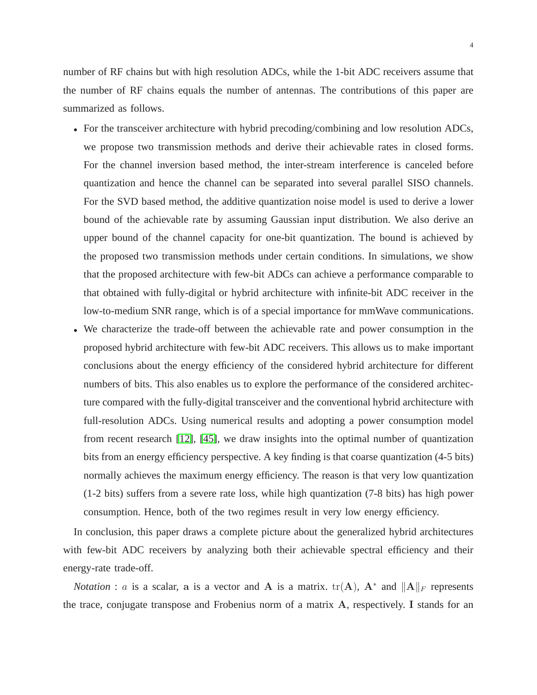number of RF chains but with high resolution ADCs, while the 1-bit ADC receivers assume that the number of RF chains equals the number of antennas. The contributions of this paper are summarized as follows.

- For the transceiver architecture with hybrid precoding/combining and low resolution ADCs, we propose two transmission methods and derive their achievable rates in closed forms. For the channel inversion based method, the inter-stream interference is canceled before quantization and hence the channel can be separated into several parallel SISO channels. For the SVD based method, the additive quantization noise model is used to derive a lower bound of the achievable rate by assuming Gaussian input distribution. We also derive an upper bound of the channel capacity for one-bit quantization. The bound is achieved by the proposed two transmission methods under certain conditions. In simulations, we show that the proposed architecture with few-bit ADCs can achieve a performance comparable to that obtained with fully-digital or hybrid architecture with infinite-bit ADC receiver in the low-to-medium SNR range, which is of a special importance for mmWave communications.
- We characterize the trade-off between the achievable rate and power consumption in the proposed hybrid architecture with few-bit ADC receivers. This allows us to make important conclusions about the energy efficiency of the considered hybrid architecture for different numbers of bits. This also enables us to explore the performance of the considered architecture compared with the fully-digital transceiver and the conventional hybrid architecture with full-resolution ADCs. Using numerical results and adopting a power consumption model from recent research [\[12\]](#page-27-2), [\[45\]](#page-28-11), we draw insights into the optimal number of quantization bits from an energy efficiency perspective. A key finding is that coarse quantization (4-5 bits) normally achieves the maximum energy efficiency. The reason is that very low quantization (1-2 bits) suffers from a severe rate loss, while high quantization (7-8 bits) has high power consumption. Hence, both of the two regimes result in very low energy efficiency.

In conclusion, this paper draws a complete picture about the generalized hybrid architectures with few-bit ADC receivers by analyzing both their achievable spectral efficiency and their energy-rate trade-off.

*Notation* : *a* is a scalar, a is a vector and **A** is a matrix.  $tr(A)$ ,  $A^*$  and  $||A||_F$  represents the trace, conjugate transpose and Frobenius norm of a matrix A, respectively. I stands for an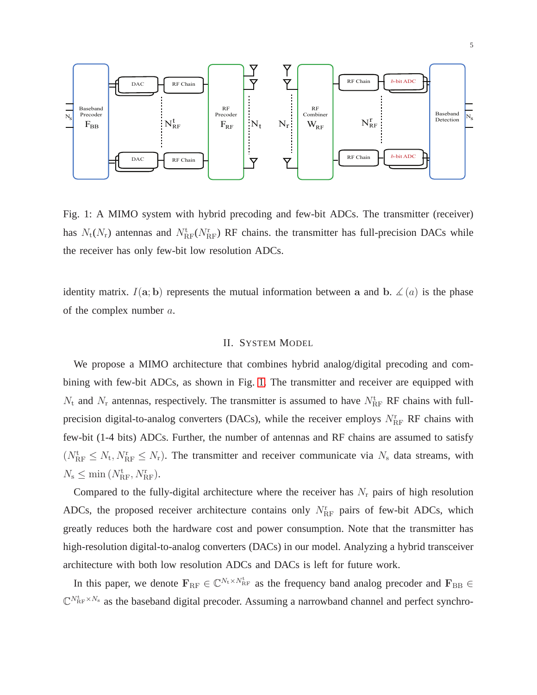<span id="page-4-0"></span>

Fig. 1: A MIMO system with hybrid precoding and few-bit ADCs. The transmitter (receiver) has  $N_t(N_r)$  antennas and  $N_{\text{RF}}^t(N_{\text{RF}}^r)$  RF chains. the transmitter has full-precision DACs while the receiver has only few-bit low resolution ADCs.

<span id="page-4-1"></span>identity matrix.  $I(a; b)$  represents the mutual information between a and b.  $\angle(a)$  is the phase of the complex number a.

#### II. SYSTEM MODEL

We propose a MIMO architecture that combines hybrid analog/digital precoding and combining with few-bit ADCs, as shown in Fig. [1.](#page-4-0) The transmitter and receiver are equipped with  $N_t$  and  $N_r$  antennas, respectively. The transmitter is assumed to have  $N_{RF}^t$  RF chains with fullprecision digital-to-analog converters (DACs), while the receiver employs  $N_{\text{RF}}^{\text{r}}$  RF chains with few-bit (1-4 bits) ADCs. Further, the number of antennas and RF chains are assumed to satisfy  $(N_{\text{RF}}^{\text{t}} \leq N_{\text{t}}, N_{\text{RF}}^{\text{r}} \leq N_{\text{r}})$ . The transmitter and receiver communicate via  $N_{\text{s}}$  data streams, with  $N_{\rm s} \leq \min\left(N_{\rm RF}^{\rm t},N_{\rm RF}^{\rm r}\right).$ 

Compared to the fully-digital architecture where the receiver has  $N_r$  pairs of high resolution ADCs, the proposed receiver architecture contains only  $N_{\text{RF}}^{\text{r}}$  pairs of few-bit ADCs, which greatly reduces both the hardware cost and power consumption. Note that the transmitter has high-resolution digital-to-analog converters (DACs) in our model. Analyzing a hybrid transceiver architecture with both low resolution ADCs and DACs is left for future work.

In this paper, we denote  $F_{RF} \in \mathbb{C}^{N_t \times N_{RF}^t}$  as the frequency band analog precoder and  $F_{BB} \in$  $\mathbb{C}^{N_{\rm RF}^{\rm t} \times N_{\rm s}}$  as the baseband digital precoder. Assuming a narrowband channel and perfect synchro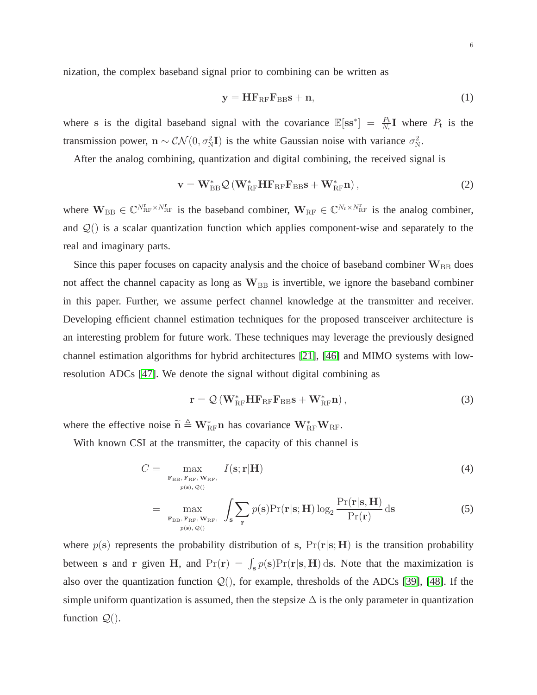nization, the complex baseband signal prior to combining can be written as

$$
y = HF_{RF}F_{BB}s + n,\t\t(1)
$$

where s is the digital baseband signal with the covariance  $\mathbb{E}[\mathbf{s}^*] = \frac{P_t}{N_s} \mathbf{I}$  where  $P_t$  is the transmission power,  $\mathbf{n} \sim \mathcal{CN}(0, \sigma_N^2 \mathbf{I})$  is the white Gaussian noise with variance  $\sigma_N^2$ .

After the analog combining, quantization and digital combining, the received signal is

$$
\mathbf{v} = \mathbf{W}_{\text{BB}}^* \mathcal{Q} \left( \mathbf{W}_{\text{RF}}^* \mathbf{H} \mathbf{F}_{\text{RF}} \mathbf{F}_{\text{BB}} \mathbf{s} + \mathbf{W}_{\text{RF}}^* \mathbf{n} \right), \tag{2}
$$

where  $\mathbf{W}_{\text{BB}} \in \mathbb{C}^{N_{\text{RF}}^r \times N_{\text{RF}}^r}$  is the baseband combiner,  $\mathbf{W}_{\text{RF}} \in \mathbb{C}^{N_{\text{r}} \times N_{\text{RF}}^r}$  is the analog combiner, and Q() is a scalar quantization function which applies component-wise and separately to the real and imaginary parts.

Since this paper focuses on capacity analysis and the choice of baseband combiner  $W_{BB}$  does not affect the channel capacity as long as  $W_{BB}$  is invertible, we ignore the baseband combiner in this paper. Further, we assume perfect channel knowledge at the transmitter and receiver. Developing efficient channel estimation techniques for the proposed transceiver architecture is an interesting problem for future work. These techniques may leverage the previously designed channel estimation algorithms for hybrid architectures [\[21\]](#page-27-12), [\[46\]](#page-28-12) and MIMO systems with lowresolution ADCs [\[47\]](#page-28-13). We denote the signal without digital combining as

$$
\mathbf{r} = \mathcal{Q}\left(\mathbf{W}_{\text{RF}}^* \mathbf{H} \mathbf{F}_{\text{RF}} \mathbf{F}_{\text{BB}} \mathbf{s} + \mathbf{W}_{\text{RF}}^* \mathbf{n}\right),\tag{3}
$$

where the effective noise  $\tilde{n} \triangleq W_{RF}^*n$  has covariance  $W_{RF}^*W_{RF}$ .

With known CSI at the transmitter, the capacity of this channel is

$$
C = \max_{\substack{\mathbf{F}_{\text{BB}}, \mathbf{F}_{\text{RF}}, \mathbf{W}_{\text{RF}}, \\ p(\mathbf{s}), \mathcal{Q}(t)}} I(\mathbf{s}; \mathbf{r} | \mathbf{H})
$$
(4)

$$
= \max_{\mathbf{F}_{\text{BB}, \mathbf{F}_{\text{RF}}, \mathbf{W}_{\text{RF}}}} \int_{\mathbf{s}} \sum_{\mathbf{r}} p(\mathbf{s}) \text{Pr}(\mathbf{r}|\mathbf{s}; \mathbf{H}) \log_2 \frac{\text{Pr}(\mathbf{r}|\mathbf{s}, \mathbf{H})}{\text{Pr}(\mathbf{r})} d\mathbf{s}
$$
(5)

where  $p(s)$  represents the probability distribution of s,  $Pr(r|s; H)$  is the transition probability between s and r given H, and  $Pr(r) = \int_s p(s) Pr(r|s, H) ds$ . Note that the maximization is also over the quantization function  $Q()$ , for example, thresholds of the ADCs [\[39\]](#page-28-2), [\[48\]](#page-28-14). If the simple uniform quantization is assumed, then the stepsize  $\Delta$  is the only parameter in quantization function  $Q()$ .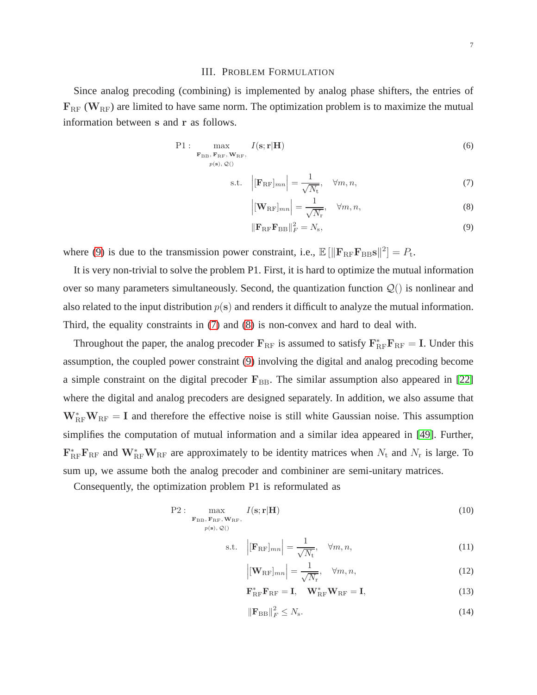# III. PROBLEM FORMULATION

Since analog precoding (combining) is implemented by analog phase shifters, the entries of  $F_{RF}$  (W<sub>RF</sub>) are limited to have same norm. The optimization problem is to maximize the mutual information between s and r as follows.

P1: 
$$
\max_{\mathbf{F}_{\text{BB}}, \mathbf{F}_{\text{RF}}, \mathbf{W}_{\text{RF}}}, I(\mathbf{s}; \mathbf{r} | \mathbf{H})
$$
(6)

$$
\text{s.t.} \quad \left| [\mathbf{F}_{\text{RF}}]_{mn} \right| = \frac{1}{\sqrt{N_{\text{t}}}}, \quad \forall m, n,
$$
\n<sup>(7)</sup>

<span id="page-6-2"></span><span id="page-6-1"></span>
$$
\left|[\mathbf{W}_{\mathrm{RF}}]_{mn}\right| = \frac{1}{\sqrt{N_{\mathrm{r}}}}, \quad \forall m, n,
$$
\n(8)

<span id="page-6-0"></span>
$$
\|\mathbf{F}_{\rm RF}\mathbf{F}_{\rm BB}\|_F^2 = N_{\rm s},\tag{9}
$$

where [\(9\)](#page-6-0) is due to the transmission power constraint, i.e.,  $\mathbb{E}[\|\mathbf{F}_{RF}\mathbf{F}_{BB}\mathbf{s}\|^2] = P_t$ .

It is very non-trivial to solve the problem P1. First, it is hard to optimize the mutual information over so many parameters simultaneously. Second, the quantization function  $\mathcal{Q}$ ) is nonlinear and also related to the input distribution  $p(s)$  and renders it difficult to analyze the mutual information. Third, the equality constraints in [\(7\)](#page-6-1) and [\(8\)](#page-6-2) is non-convex and hard to deal with.

Throughout the paper, the analog precoder  $F_{RF}$  is assumed to satisfy  $F_{RF}^*F_{RF} = I$ . Under this assumption, the coupled power constraint [\(9\)](#page-6-0) involving the digital and analog precoding become a simple constraint on the digital precoder  $F_{BB}$ . The similar assumption also appeared in [\[22\]](#page-27-13) where the digital and analog precoders are designed separately. In addition, we also assume that  $W_{\text{RF}}^{*}W_{\text{RF}} = I$  and therefore the effective noise is still white Gaussian noise. This assumption simplifies the computation of mutual information and a similar idea appeared in [\[49\]](#page-28-15). Further,  $\mathbf{F}_{\text{RF}}^* \mathbf{F}_{\text{RF}}$  and  $\mathbf{W}_{\text{RF}}^* \mathbf{W}_{\text{RF}}$  are approximately to be identity matrices when  $N_t$  and  $N_r$  is large. To sum up, we assume both the analog precoder and combininer are semi-unitary matrices.

Consequently, the optimization problem P1 is reformulated as

P2: 
$$
\max_{\mathbf{F}_{\text{BB}}, \mathbf{F}_{\text{RF}}, \mathbf{W}_{\text{RF}}, \mathbf{F}_{\text{RF}} \atop p(\mathbf{s}), \mathcal{Q}(1)} I(\mathbf{s}; \mathbf{r} | \mathbf{H})
$$
(10)

$$
\text{s.t.} \quad \left| [\mathbf{F}_{\text{RF}}]_{mn} \right| = \frac{1}{\sqrt{N_{\text{t}}}}, \quad \forall m, n,
$$
\n
$$
(11)
$$

$$
\left|[\mathbf{W}_{\mathrm{RF}}]_{mn}\right| = \frac{1}{\sqrt{N_{\mathrm{r}}}}, \quad \forall m, n,
$$
\n(12)

<span id="page-6-3"></span>
$$
\mathbf{F}_{\rm RF}^* \mathbf{F}_{\rm RF} = \mathbf{I}, \quad \mathbf{W}_{\rm RF}^* \mathbf{W}_{\rm RF} = \mathbf{I}, \tag{13}
$$

$$
\left\|\mathbf{F}_{\mathrm{BB}}\right\|_{F}^{2} \leq N_{\mathrm{s}}.\tag{14}
$$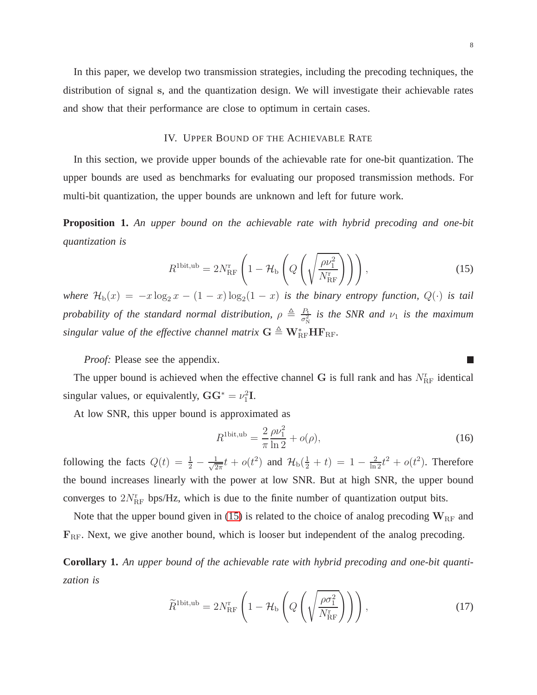## IV. UPPER BOUND OF THE ACHIEVABLE RATE

In this section, we provide upper bounds of the achievable rate for one-bit quantization. The upper bounds are used as benchmarks for evaluating our proposed transmission methods. For multi-bit quantization, the upper bounds are unknown and left for future work.

<span id="page-7-2"></span>**Proposition 1.** *An upper bound on the achievable rate with hybrid precoding and one-bit quantization is*

$$
R^{\text{1bit,ub}} = 2N_{\text{RF}}^{\text{r}} \left( 1 - \mathcal{H}_{\text{b}} \left( Q \left( \sqrt{\frac{\rho v_1^2}{N_{\text{RF}}^{\text{r}}} } \right) \right) \right),\tag{15}
$$

*where*  $\mathcal{H}_b(x) = -x \log_2 x - (1-x) \log_2(1-x)$  *is the binary entropy function,*  $Q(\cdot)$  *is tail probability of the standard normal distribution,*  $\rho \triangleq \frac{P_t}{\sigma^2}$  $\frac{P_{\rm t}}{\sigma_{\rm N}^2}$  is the SNR and  $\nu_1$  is the maximum singular value of the effective channel matrix  $\mathbf{G} \triangleq \mathbf{W}_{\text{RF}}^* \mathbf{H} \mathbf{F}_{\text{RF}}$ .

*Proof:* Please see the appendix.

The upper bound is achieved when the effective channel G is full rank and has  $N_{\text{RF}}^{\text{r}}$  identical singular values, or equivalently,  $GG^* = \nu_1^2 I$ .

At low SNR, this upper bound is approximated as

$$
R^{\text{1bit,ub}} = \frac{2}{\pi} \frac{\rho \nu_1^2}{\ln 2} + o(\rho),\tag{16}
$$

following the facts  $Q(t) = \frac{1}{2} - \frac{1}{\sqrt{2}}$  $\frac{1}{2\pi}t + o(t^2)$  and  $\mathcal{H}_b(\frac{1}{2} + t) = 1 - \frac{2}{\ln 2}t^2 + o(t^2)$ . Therefore the bound increases linearly with the power at low SNR. But at high SNR, the upper bound converges to  $2N_{\text{RF}}^{\text{r}}$  bps/Hz, which is due to the finite number of quantization output bits.

Note that the upper bound given in [\(15\)](#page-7-0) is related to the choice of analog precoding  $W_{RF}$  and  $F_{RF}$ . Next, we give another bound, which is looser but independent of the analog precoding.

**Corollary 1.** *An upper bound of the achievable rate with hybrid precoding and one-bit quantization is*

$$
\widetilde{R}^{\text{1bit,ub}} = 2N_{\text{RF}}^{\text{r}} \left( 1 - \mathcal{H}_{\text{b}} \left( Q \left( \sqrt{\frac{\rho \sigma_1^2}{N_{\text{RF}}^{\text{r}}} } \right) \right) \right),\tag{17}
$$

<span id="page-7-3"></span><span id="page-7-1"></span><span id="page-7-0"></span> $\mathcal{L}_{\mathcal{A}}$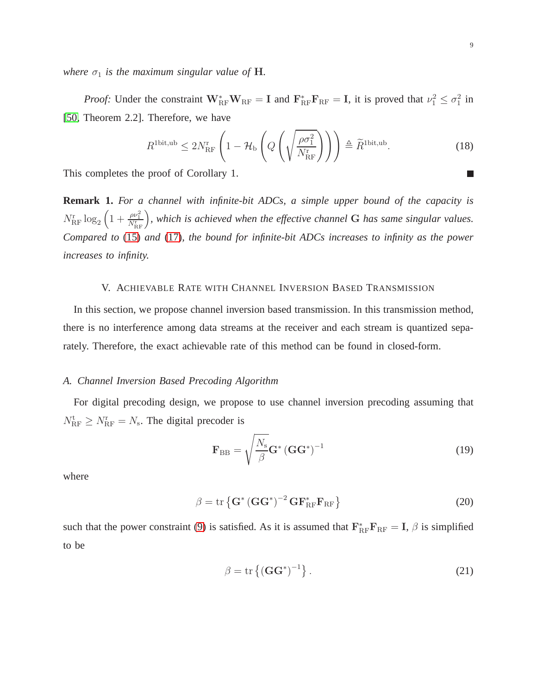*where*  $\sigma_1$  *is the maximum singular value of* **H**.

*Proof:* Under the constraint  $W_{RF}^*W_{RF} = I$  and  $F_{RF}^*F_{RF} = I$ , it is proved that  $\nu_1^2 \le \sigma_1^2$  in [\[50,](#page-28-16) Theorem 2.2]. Therefore, we have

$$
R^{\text{1bit,ub}} \leq 2N_{\text{RF}}^{\text{r}} \left(1 - \mathcal{H}_{\text{b}}\left(Q\left(\sqrt{\frac{\rho \sigma_1^2}{N_{\text{RF}}^{\text{r}}}}\right)\right)\right) \triangleq \widetilde{R}^{\text{1bit,ub}}.\tag{18}
$$

This completes the proof of Corollary 1.

**Remark 1.** *For a channel with infinite-bit ADCs, a simple upper bound of the capacity is*  $N_{\rm RF}^{\rm r}\log_2\left(1+\frac{\rho\nu_{1}^2}{N_{\rm RF}^{\rm r}}\right)$ , which is achieved when the effective channel G has same singular values. *Compared to* [\(15\)](#page-7-0) *and* [\(17\)](#page-7-1)*, the bound for infinite-bit ADCs increases to infinity as the power increases to infinity.*

## V. ACHIEVABLE RATE WITH CHANNEL INVERSION BASED TRANSMISSION

In this section, we propose channel inversion based transmission. In this transmission method, there is no interference among data streams at the receiver and each stream is quantized separately. Therefore, the exact achievable rate of this method can be found in closed-form.

# *A. Channel Inversion Based Precoding Algorithm*

For digital precoding design, we propose to use channel inversion precoding assuming that  $N_{\text{RF}}^{\text{t}} \geq N_{\text{RF}}^{\text{r}} = N_{\text{s}}$ . The digital precoder is

<span id="page-8-0"></span>
$$
\mathbf{F}_{\rm BB} = \sqrt{\frac{N_{\rm s}}{\beta}} \mathbf{G}^* \left(\mathbf{G} \mathbf{G}^*\right)^{-1} \tag{19}
$$

where

$$
\beta = \text{tr}\left\{ \mathbf{G}^* \left( \mathbf{G} \mathbf{G}^* \right)^{-2} \mathbf{G} \mathbf{F}_{\text{RF}}^* \mathbf{F}_{\text{RF}} \right\}
$$
(20)

such that the power constraint [\(9\)](#page-6-0) is satisfied. As it is assumed that  $F_{RF}^*F_{RF} = I$ ,  $\beta$  is simplified to be

$$
\beta = \text{tr}\left\{ \left(\mathbf{G}\mathbf{G}^*\right)^{-1} \right\}.
$$
\n(21)

m.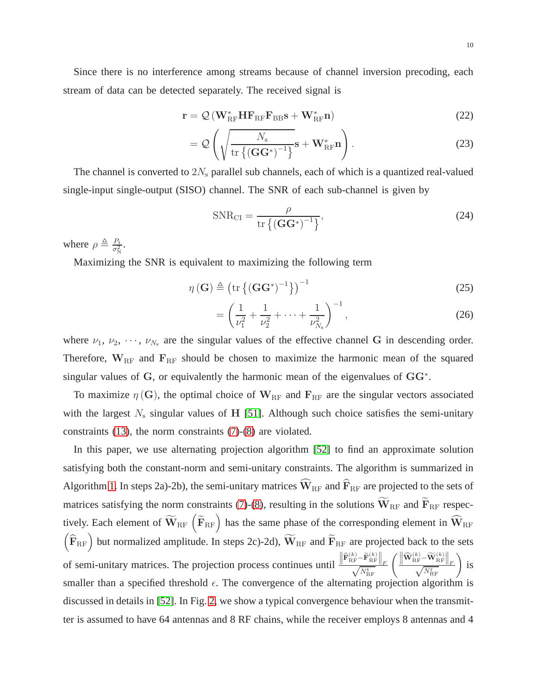Since there is no interference among streams because of channel inversion precoding, each stream of data can be detected separately. The received signal is

$$
\mathbf{r} = \mathcal{Q}\left(\mathbf{W}_{\text{RF}}^{*} \mathbf{H} \mathbf{F}_{\text{RF}} \mathbf{F}_{\text{BB}} \mathbf{s} + \mathbf{W}_{\text{RF}}^{*} \mathbf{n}\right)
$$
(22)

$$
= \mathcal{Q}\left(\sqrt{\frac{N_{\mathrm{s}}}{\mathrm{tr}\left\{\left(\mathbf{G}\mathbf{G}^*\right)^{-1}\right\}}}\mathbf{s} + \mathbf{W}_{\mathrm{RF}}^*\mathbf{n}\right).
$$
 (23)

The channel is converted to  $2N<sub>s</sub>$  parallel sub channels, each of which is a quantized real-valued single-input single-output (SISO) channel. The SNR of each sub-channel is given by

<span id="page-9-0"></span>
$$
SNR_{CI} = \frac{\rho}{\text{tr}\left\{ \left(\mathbf{G}\mathbf{G}^*\right)^{-1} \right\}},\tag{24}
$$

where  $\rho \triangleq \frac{P_t}{\sigma^2}$  $\frac{P_{\text{t}}}{\sigma_{\text{N}}^2}$ .

Maximizing the SNR is equivalent to maximizing the following term

$$
\eta\left(\mathbf{G}\right) \triangleq \left(\text{tr}\left\{\left(\mathbf{G}\mathbf{G}^*\right)^{-1}\right\}\right)^{-1} \tag{25}
$$

$$
= \left(\frac{1}{\nu_1^2} + \frac{1}{\nu_2^2} + \dots + \frac{1}{\nu_{N_s}^2}\right)^{-1},\tag{26}
$$

where  $\nu_1, \nu_2, \dots, \nu_{N_s}$  are the singular values of the effective channel G in descending order. Therefore,  $W_{RF}$  and  $F_{RF}$  should be chosen to maximize the harmonic mean of the squared singular values of G, or equivalently the harmonic mean of the eigenvalues of  $GG^*$ .

To maximize  $\eta(G)$ , the optimal choice of  $W_{RF}$  and  $F_{RF}$  are the singular vectors associated with the largest  $N_s$  singular values of H [\[51\]](#page-28-17). Although such choice satisfies the semi-unitary constraints [\(13\)](#page-6-3), the norm constraints [\(7\)](#page-6-1)-[\(8\)](#page-6-2) are violated.

In this paper, we use alternating projection algorithm [\[52\]](#page-29-0) to find an approximate solution satisfying both the constant-norm and semi-unitary constraints. The algorithm is summarized in Algorithm [1.](#page-10-0) In steps 2a)-2b), the semi-unitary matrices  $\widehat{W}_{RF}$  and  $\widehat{F}_{RF}$  are projected to the sets of matrices satisfying the norm constraints [\(7\)](#page-6-1)-[\(8\)](#page-6-2), resulting in the solutions  $\widetilde{W}_{RF}$  and  $\widetilde{F}_{RF}$  respectively. Each element of  $\widetilde{W}_{\rm RF}\left(\widetilde{\mathrm{F}}_{\rm RF}\right)$  has the same phase of the corresponding element in  $\widehat{W}_{\rm RF}$  $(\widehat{F}_{RF})$  but normalized amplitude. In steps 2c)-2d),  $\widetilde{W}_{RF}$  and  $\widetilde{F}_{RF}$  are projected back to the sets of semi-unitary matrices. The projection process continues until  $\left\| \widehat{\mathbf{F}}_{\rm RF}^{(k)}{-}\widetilde{\mathbf{F}}_{\rm RF}^{(k)} \right\|$  $\frac{ \left. \hat{\mathbf{F}}_{\rm RF}^{(k)} - \widetilde{\mathbf{F}}_{\rm RF}^{(k)} \right|_F }{ \sqrt{N_{\rm RF}^{\rm t}}} \left( \frac{ \left\| \widehat{\mathbf{W}}_{\rm RF}^{(k)} - \widetilde{\mathbf{W}}_{\rm RF}^{(k)} \right\|_F }{ \sqrt{N_{\rm RF}^{\rm t}}} \right)$  $\frac{ \frac{k}{\kappa \mathrm{F}} - \widetilde{\mathbf{W}}_\mathrm{RF}^{(k)} \Big\|_F }{ \sqrt{N_\mathrm{RF}^\mathrm{r}} } \bigg) \mathrm{\;i} \mathrm{\mathbf{\mathbf{\mathbf{\mathbf{S}}}}}$ smaller than a specified threshold  $\epsilon$ . The convergence of the alternating projection algorithm is discussed in details in [\[52\]](#page-29-0). In Fig. [2,](#page-11-0) we show a typical convergence behaviour when the transmitter is assumed to have 64 antennas and 8 RF chains, while the receiver employs 8 antennas and 4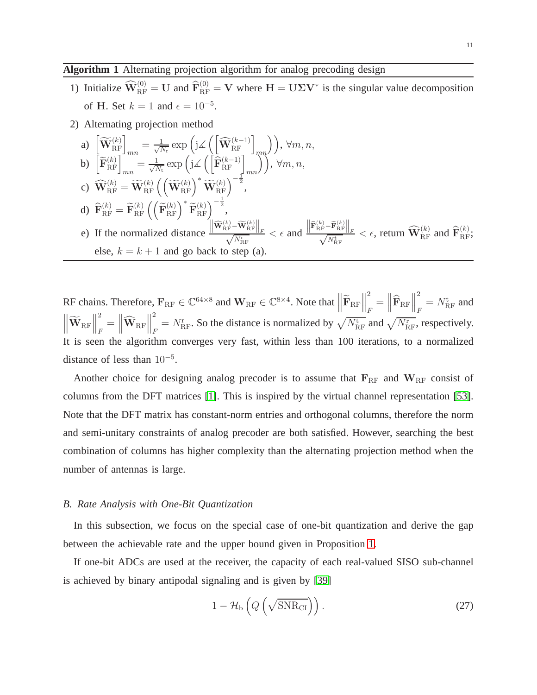- <span id="page-10-0"></span>1) Initialize  $\widehat{W}_{RF}^{(0)} = U$  and  $\widehat{F}_{RF}^{(0)} = V$  where  $H = U\Sigma V^*$  is the singular value decomposition of H. Set  $k = 1$  and  $\epsilon = 10^{-5}$ .
- 2) Alternating projection method

a) 
$$
\begin{aligned}\n\left[\widetilde{\mathbf{W}}_{\text{RF}}^{(k)}\right]_{mn} &= \frac{1}{\sqrt{N_{\text{r}}}} \exp\left(j\measuredangle\left(\left[\widehat{\mathbf{W}}_{\text{RF}}^{(k-1)}\right]_{mn}\right)\right), \forall m, n, \\
b) \left[\widetilde{\mathbf{F}}_{\text{RF}}^{(k)}\right]_{mn} &= \frac{1}{\sqrt{N_{\text{t}}}} \exp\left(j\measuredangle\left(\left[\widehat{\mathbf{F}}_{\text{RF}}^{(k-1)}\right]_{mn}\right)\right), \forall m, n, \\
c) \widehat{\mathbf{W}}_{\text{RF}}^{(k)} &= \widetilde{\mathbf{W}}_{\text{RF}}^{(k)} \left(\left(\widetilde{\mathbf{W}}_{\text{RF}}^{(k)}\right)^{*} \widetilde{\mathbf{W}}_{\text{RF}}^{(k)}\right)^{-\frac{1}{2}}, \\
d) \widehat{\mathbf{F}}_{\text{RF}}^{(k)} &= \widetilde{\mathbf{F}}_{\text{RF}}^{(k)} \left(\left(\widetilde{\mathbf{F}}_{\text{RF}}^{(k)}\right)^{*} \widetilde{\mathbf{F}}_{\text{RF}}^{(k)}\right)^{-\frac{1}{2}}, \\
e) \text{ If the normalized distance } \frac{\left\|\widehat{\mathbf{W}}_{\text{RF}}^{(k)} - \widetilde{\mathbf{W}}_{\text{RF}}^{(k)}\right\|_{F}}{\sqrt{N_{\text{RF}}^{\text{r}}}} < \epsilon \text{ and } \frac{\left\|\widehat{\mathbf{F}}_{\text{RF}}^{(k)} - \widetilde{\mathbf{F}}_{\text{RF}}^{(k)}\right\|_{F}}{\sqrt{N_{\text{RF}}^{\text{r}}}} < \epsilon, \text{ return } \widehat{\mathbf{W}}_{\text{RF}}^{(k)} \text{ and } \widehat{\mathbf{F}}_{\text{RF}}^{(k)}; \\
\text{else, } k = k + 1 \text{ and go back to step (a)}. \n\end{aligned}
$$

RF chains. Therefore,  $\mathbf{F}_{\text{RF}} \in \mathbb{C}^{64 \times 8}$  and  $\mathbf{W}_{\text{RF}} \in \mathbb{C}^{8 \times 4}$ . Note that  $\left\| \widetilde{\mathbf{F}}_{\text{RF}} \right\|$ 2  $\frac{2}{F} = \left\| \widehat{\mathbf{F}}_{\rm RF} \right\|,$ 2  $_{F} = N_{\text{RF}}^{\text{t}}$  and  $\left\Vert \widetilde{\mathbf{W}}_{\text{RF}}\right\Vert$ 2  $\frac{2}{F} = \left\| \widehat{\mathbf{W}}_{\rm RF} \right\|,$ 2  $\sum_F^2 = N_{\text{RF}}^{\text{r}}$ . So the distance is normalized by  $\sqrt{N_{\text{RF}}^{\text{t}}}$  and  $\sqrt{N_{\text{RF}}^{\text{r}}}$ , respectively. It is seen the algorithm converges very fast, within less than 100 iterations, to a normalized distance of less than  $10^{-5}$ .

Another choice for designing analog precoder is to assume that  $F_{RF}$  and  $W_{RF}$  consist of columns from the DFT matrices [\[1\]](#page-26-0). This is inspired by the virtual channel representation [\[53\]](#page-29-1). Note that the DFT matrix has constant-norm entries and orthogonal columns, therefore the norm and semi-unitary constraints of analog precoder are both satisfied. However, searching the best combination of columns has higher complexity than the alternating projection method when the number of antennas is large.

#### *B. Rate Analysis with One-Bit Quantization*

In this subsection, we focus on the special case of one-bit quantization and derive the gap between the achievable rate and the upper bound given in Proposition [1.](#page-7-2)

If one-bit ADCs are used at the receiver, the capacity of each real-valued SISO sub-channel is achieved by binary antipodal signaling and is given by [\[39\]](#page-28-2)

$$
1 - \mathcal{H}_{\rm b}\left(Q\left(\sqrt{\rm SNR_{CI}}\right)\right). \tag{27}
$$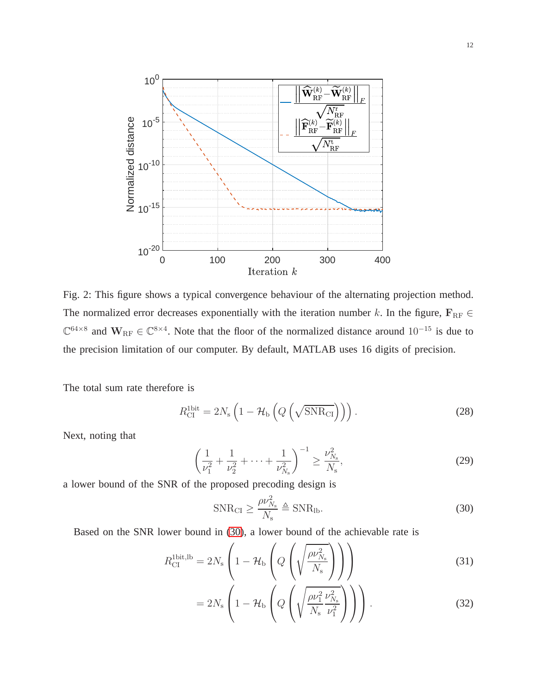<span id="page-11-0"></span>

Fig. 2: This figure shows a typical convergence behaviour of the alternating projection method. The normalized error decreases exponentially with the iteration number k. In the figure,  $F_{RF} \in$  $\mathbb{C}^{64\times 8}$  and  $\mathbf{W}_{\text{RF}} \in \mathbb{C}^{8\times 4}$ . Note that the floor of the normalized distance around  $10^{-15}$  is due to the precision limitation of our computer. By default, MATLAB uses 16 digits of precision.

The total sum rate therefore is

$$
R_{\rm CI}^{\rm 1bit} = 2N_{\rm s} \left( 1 - \mathcal{H}_{\rm b} \left( Q \left( \sqrt{\rm SNR_{\rm CI}} \right) \right) \right). \tag{28}
$$

Next, noting that

$$
\left(\frac{1}{\nu_1^2} + \frac{1}{\nu_2^2} + \dots + \frac{1}{\nu_{N_s}^2}\right)^{-1} \ge \frac{\nu_{N_s}^2}{N_s},\tag{29}
$$

a lower bound of the SNR of the proposed precoding design is

<span id="page-11-3"></span><span id="page-11-2"></span><span id="page-11-1"></span>
$$
\text{SNR}_{\text{CI}} \ge \frac{\rho \nu_{N_{\text{s}}}}{N_{\text{s}}} \triangleq \text{SNR}_{\text{lb}}.\tag{30}
$$

Based on the SNR lower bound in [\(30\)](#page-11-1), a lower bound of the achievable rate is

$$
R_{\rm CI}^{\rm 1bit,lb} = 2N_{\rm s} \left( 1 - \mathcal{H}_{\rm b} \left( Q \left( \sqrt{\frac{\rho \nu_{N_{\rm s}}^2}{N_{\rm s}}} \right) \right) \right) \tag{31}
$$

$$
=2N_{\rm s}\left(1-\mathcal{H}_{\rm b}\left(Q\left(\sqrt{\frac{\rho\nu_1^2}{N_{\rm s}}\frac{\nu_{N_{\rm s}}^2}{\nu_1^2}}\right)\right)\right).
$$
(32)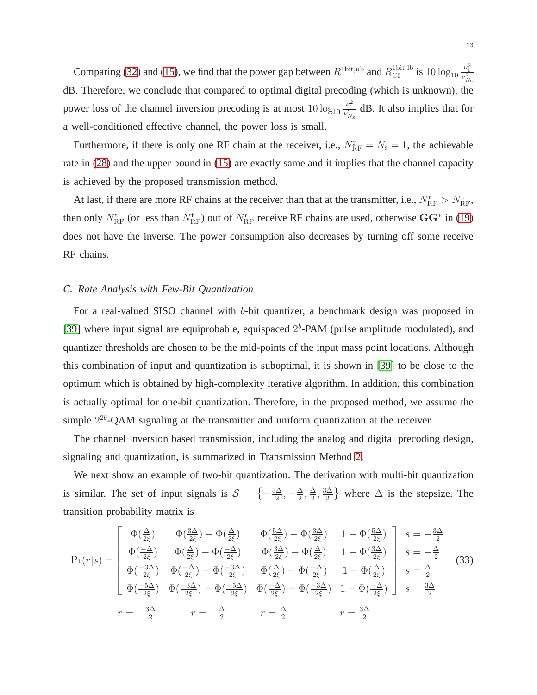Comparing [\(32\)](#page-11-2) and [\(15\)](#page-7-0), we find that the power gap between  $R^{\text{1bit,ub}}$  and  $R^{\text{1bit,lb}}_{\text{CI}}$  is 10  $\log_{10} \frac{\nu_1^2}{\nu_{N_s}^2}$ dB. Therefore, we conclude that compared to optimal digital precoding (which is unknown), the power loss of the channel inversion precoding is at most  $10 \log_{10} \frac{\nu_1^2}{\nu_{N_s}^2}$  dB. It also implies that for a well-conditioned effective channel, the power loss is small.

Furthermore, if there is only one RF chain at the receiver, i.e.,  $N_{\text{RF}}^{\text{r}} = N_{\text{s}} = 1$ , the achievable rate in [\(28\)](#page-11-3) and the upper bound in [\(15\)](#page-7-0) are exactly same and it implies that the channel capacity is achieved by the proposed transmission method.

At last, if there are more RF chains at the receiver than that at the transmitter, i.e.,  $N_{\text{RF}}^{\text{r}} > N_{\text{RF}}^{\text{t}}$ , then only  $N_{RF}^t$  (or less than  $N_{RF}^t$ ) out of  $N_{RF}^r$  receive RF chains are used, otherwise  $GG^*$  in [\(19\)](#page-8-0) does not have the inverse. The power consumption also decreases by turning off some receive RF chains.

# *C. Rate Analysis with Few-Bit Quantization*

For a real-valued SISO channel with b-bit quantizer, a benchmark design was proposed in [\[39\]](#page-28-2) where input signal are equiprobable, equispaced  $2<sup>b</sup>$ -PAM (pulse amplitude modulated), and quantizer thresholds are chosen to be the mid-points of the input mass point locations. Although this combination of input and quantization is suboptimal, it is shown in [\[39\]](#page-28-2) to be close to the optimum which is obtained by high-complexity iterative algorithm. In addition, this combination is actually optimal for one-bit quantization. Therefore, in the proposed method, we assume the simple  $2^{2b}$ -QAM signaling at the transmitter and uniform quantization at the receiver.

The channel inversion based transmission, including the analog and digital precoding design, signaling and quantization, is summarized in Transmission Method [2.](#page-13-0)

We next show an example of two-bit quantization. The derivation with multi-bit quantization is similar. The set of input signals is  $S = \left(-\frac{3\Delta}{2}\right)$  $\frac{\Delta}{2}, -\frac{\Delta}{2}$  $\frac{\Delta}{2}, \frac{\Delta}{2}$  $\frac{\Delta}{2}, \frac{3\Delta}{2}$  $\frac{\Delta}{2}$  where  $\Delta$  is the stepsize. The transition probability matrix is

$$
\Pr(r|s) = \begin{bmatrix} \Phi(\frac{\Delta}{2\xi}) & \Phi(\frac{3\Delta}{2\xi}) - \Phi(\frac{\Delta}{2\xi}) & \Phi(\frac{5\Delta}{2\xi}) - \Phi(\frac{3\Delta}{2\xi}) & 1 - \Phi(\frac{5\Delta}{2\xi}) & s = -\frac{3\Delta}{2} \\ \Phi(\frac{-\Delta}{2\xi}) & \Phi(\frac{\Delta}{2\xi}) - \Phi(\frac{-\Delta}{2\xi}) & \Phi(\frac{3\Delta}{2\xi}) - \Phi(\frac{\Delta}{2\xi}) & 1 - \Phi(\frac{3\Delta}{2\xi}) & s = -\frac{\Delta}{2} \\ \Phi(\frac{-3\Delta}{2\xi}) & \Phi(\frac{-\Delta}{2\xi}) - \Phi(\frac{-3\Delta}{2\xi}) & \Phi(\frac{\Delta}{2\xi}) - \Phi(\frac{-\Delta}{2\xi}) & 1 - \Phi(\frac{\Delta}{2\xi}) & s = \frac{\Delta}{2} \\ \Phi(\frac{-5\Delta}{2\xi}) & \Phi(\frac{-3\Delta}{2\xi}) - \Phi(\frac{-5\Delta}{2\xi}) & \Phi(\frac{-\Delta}{2\xi}) - \Phi(\frac{-3\Delta}{2\xi}) & 1 - \Phi(\frac{-\Delta}{2\xi}) \end{bmatrix} \begin{array}{l} s = -\frac{3\Delta}{2} \\ s = \frac{\Delta}{2} \end{array} \tag{33}
$$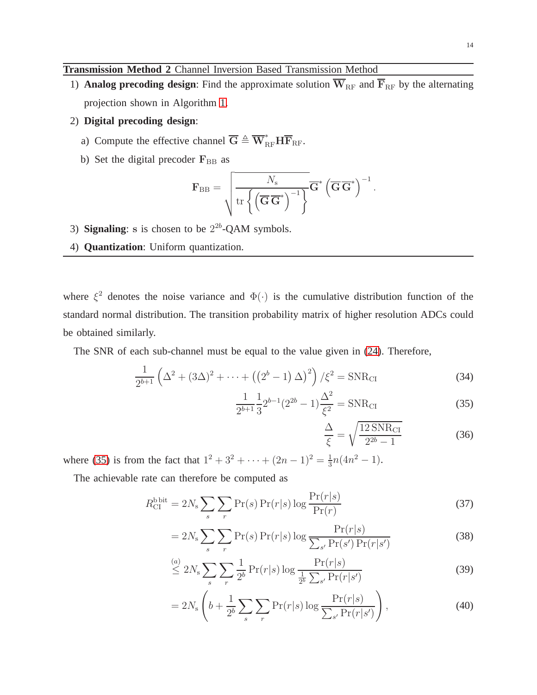- <span id="page-13-0"></span>1) **Analog precoding design**: Find the approximate solution  $\overline{W}_{RF}$  and  $\overline{F}_{RF}$  by the alternating projection shown in Algorithm [1.](#page-10-0)
- 2) **Digital precoding design**:
	- a) Compute the effective channel  $\overline{G} \triangleq \overline{W}_{RF}^* H \overline{F}_{RF}$ .
	- b) Set the digital precoder  $\mathbf{F}_\text{BB}$  as

$$
\mathbf{F}_\mathrm{BB} = \sqrt{\frac{N_\mathrm{s}}{\mathrm{tr}\left\{\left(\overline{\mathbf{G}}\, \overline{\mathbf{G}}^*\right)^{-1}\right\}}}\overline{\mathbf{G}}^*\left(\overline{\mathbf{G}}\, \overline{\mathbf{G}}^*\right)^{-1}.
$$

- 3) **Signaling**: s is chosen to be  $2^{2b}$ -QAM symbols.
- 4) **Quantization**: Uniform quantization.

where  $\xi^2$  denotes the noise variance and  $\Phi(\cdot)$  is the cumulative distribution function of the standard normal distribution. The transition probability matrix of higher resolution ADCs could be obtained similarly.

The SNR of each sub-channel must be equal to the value given in [\(24\)](#page-9-0). Therefore,

$$
\frac{1}{2^{b+1}} \left( \Delta^2 + (3\Delta)^2 + \dots + \left( \left( 2^b - 1 \right) \Delta \right)^2 \right) / \xi^2 = \text{SNR}_{\text{CI}} \tag{34}
$$

$$
\frac{1}{2^{b+1}}\frac{1}{3}2^{b-1}(2^{2b}-1)\frac{\Delta^2}{\xi^2} = \text{SNR}_{\text{CI}}\tag{35}
$$

<span id="page-13-2"></span><span id="page-13-1"></span>
$$
\frac{\Delta}{\xi} = \sqrt{\frac{12 \text{ SNR}_{\text{CI}}}{2^{2b} - 1}}
$$
\n(36)

where [\(35\)](#page-13-1) is from the fact that  $1^2 + 3^2 + \cdots + (2n - 1)^2 = \frac{1}{3}$  $\frac{1}{3}n(4n^2-1).$ 

The achievable rate can therefore be computed as

$$
R_{\rm CI}^{\rm b\,bit} = 2N_{\rm s} \sum_{s} \sum_{r} \Pr(s) \Pr(r|s) \log \frac{\Pr(r|s)}{\Pr(r)} \tag{37}
$$

$$
= 2N_s \sum_{s} \sum_{r} \Pr(s) \Pr(r|s) \log \frac{\Pr(r|s)}{\sum_{s'} \Pr(s') \Pr(r|s')} \tag{38}
$$

$$
\stackrel{(a)}{\leq} 2N_s \sum_{s} \sum_{r} \frac{1}{2^b} \Pr(r|s) \log \frac{\Pr(r|s)}{\frac{1}{2^b} \sum_{s'} \Pr(r|s')} \tag{39}
$$

$$
=2N_s\left(b+\frac{1}{2^b}\sum_s\sum_r\Pr(r|s)\log\frac{\Pr(r|s)}{\sum_{s'}\Pr(r|s')}\right),\tag{40}
$$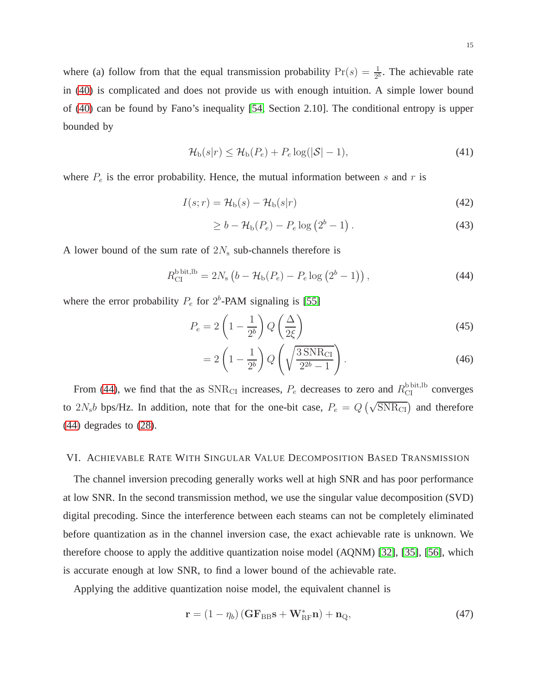where (a) follow from that the equal transmission probability  $Pr(s) = \frac{1}{2^b}$ . The achievable rate in [\(40\)](#page-13-2) is complicated and does not provide us with enough intuition. A simple lower bound of [\(40\)](#page-13-2) can be found by Fano's inequality [\[54,](#page-29-2) Section 2.10]. The conditional entropy is upper bounded by

$$
\mathcal{H}_{\mathrm{b}}(s|r) \leq \mathcal{H}_{\mathrm{b}}(P_e) + P_e \log(|\mathcal{S}| - 1),\tag{41}
$$

where  $P_e$  is the error probability. Hence, the mutual information between s and r is

$$
I(s;r) = \mathcal{H}_{b}(s) - \mathcal{H}_{b}(s|r)
$$
\n(42)

<span id="page-14-0"></span>
$$
\geq b - \mathcal{H}_b(P_e) - P_e \log \left(2^b - 1\right). \tag{43}
$$

A lower bound of the sum rate of  $2N_s$  sub-channels therefore is

$$
R_{\rm CI}^{\rm b\,bit,lb} = 2N_{\rm s} \left( b - \mathcal{H}_{\rm b}(P_e) - P_e \log \left( 2^b - 1 \right) \right),\tag{44}
$$

where the error probability  $P_e$  for  $2^b$ -PAM signaling is [\[55\]](#page-29-3)

$$
P_e = 2\left(1 - \frac{1}{2^b}\right)Q\left(\frac{\Delta}{2\xi}\right)
$$
\n(45)

$$
=2\left(1-\frac{1}{2^b}\right)Q\left(\sqrt{\frac{3\,\text{SNR}_{\text{CI}}}{2^{2b}-1}}\right).
$$
\n(46)

From [\(44\)](#page-14-0), we find that the as  $SNR_{CI}$  increases,  $P_e$  decreases to zero and  $R_{CI}^{b\,bit,lb}$  converges to  $2N_s b$  bps/Hz. In addition, note that for the one-bit case,  $P_e = Q\left(\sqrt{SNR_{CI}}\right)$  and therefore [\(44\)](#page-14-0) degrades to [\(28\)](#page-11-3).

## VI. ACHIEVABLE RATE WITH SINGULAR VALUE DECOMPOSITION BASED TRANSMISSION

The channel inversion precoding generally works well at high SNR and has poor performance at low SNR. In the second transmission method, we use the singular value decomposition (SVD) digital precoding. Since the interference between each steams can not be completely eliminated before quantization as in the channel inversion case, the exact achievable rate is unknown. We therefore choose to apply the additive quantization noise model (AQNM) [\[32\]](#page-28-3), [\[35\]](#page-28-4), [\[56\]](#page-29-4), which is accurate enough at low SNR, to find a lower bound of the achievable rate.

Applying the additive quantization noise model, the equivalent channel is

$$
\mathbf{r} = (1 - \eta_b) \left( \mathbf{G} \mathbf{F}_{\mathrm{BB}} \mathbf{s} + \mathbf{W}_{\mathrm{RF}}^* \mathbf{n} \right) + \mathbf{n}_{\mathrm{Q}},\tag{47}
$$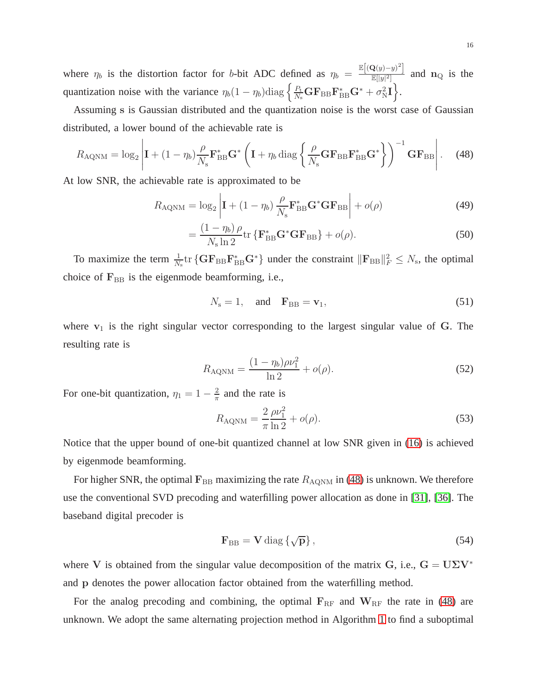where  $\eta_b$  is the distortion factor for b-bit ADC defined as  $\eta_b = \frac{\mathbb{E}[(\mathbf{Q}(y)-y)^2]}{\mathbb{E}[(y/2)]}$  $\frac{\mathbf{x}(y-y)}{\mathbb{E}[|y|^2]}$  and  $\mathbf{n}_Q$  is the quantization noise with the variance  $\eta_b (1 - \eta_b) \text{diag} \left\{ \frac{P_t}{N_s} \mathbf{G} \mathbf{F}_{BB} \mathbf{F}_{BB}^* \mathbf{G}^* + \sigma_N^2 \mathbf{I} \right\}.$ 

Assuming s is Gaussian distributed and the quantization noise is the worst case of Gaussian distributed, a lower bound of the achievable rate is

$$
R_{\text{AQNM}} = \log_2 \left| \mathbf{I} + (1 - \eta_b) \frac{\rho}{N_s} \mathbf{F}_{\text{BB}}^* \mathbf{G}^* \left( \mathbf{I} + \eta_b \operatorname{diag} \left\{ \frac{\rho}{N_s} \mathbf{G} \mathbf{F}_{\text{BB}} \mathbf{F}_{\text{BB}}^* \mathbf{G}^* \right\} \right)^{-1} \mathbf{G} \mathbf{F}_{\text{BB}} \right|.
$$
 (48)

At low SNR, the achievable rate is approximated to be

$$
R_{\text{AQNM}} = \log_2 \left| \mathbf{I} + (1 - \eta_b) \frac{\rho}{N_s} \mathbf{F}_{\text{BB}}^* \mathbf{G}^* \mathbf{G} \mathbf{F}_{\text{BB}} \right| + o(\rho) \tag{49}
$$

<span id="page-15-0"></span>
$$
=\frac{(1-\eta_b)\,\rho}{N_s\ln 2}\text{tr}\left\{\mathbf{F}_{\text{BB}}^*\mathbf{G}^*\mathbf{G}\mathbf{F}_{\text{BB}}\right\}+o(\rho).
$$
\n(50)

To maximize the term  $\frac{1}{N_s}$ tr { $G_{\bf{F}_{BB}}$  $F_{\rm{BB}}^*$  $G^*$ } under the constraint  $\|\mathbf{F}_{\rm{BB}}\|_F^2 \le N_s$ , the optimal choice of  $F_{BB}$  is the eigenmode beamforming, i.e.,

$$
N_s = 1, \quad \text{and} \quad \mathbf{F}_{\text{BB}} = \mathbf{v}_1,\tag{51}
$$

where  $v_1$  is the right singular vector corresponding to the largest singular value of G. The resulting rate is

$$
R_{\text{AQNM}} = \frac{(1 - \eta_b)\rho \nu_1^2}{\ln 2} + o(\rho). \tag{52}
$$

For one-bit quantization,  $\eta_1 = 1 - \frac{2}{\pi}$  $\frac{2}{\pi}$  and the rate is

$$
R_{\text{AQNM}} = \frac{2}{\pi} \frac{\rho v_1^2}{\ln 2} + o(\rho). \tag{53}
$$

Notice that the upper bound of one-bit quantized channel at low SNR given in [\(16\)](#page-7-3) is achieved by eigenmode beamforming.

For higher SNR, the optimal  $\mathbf{F}_{\text{BB}}$  maximizing the rate  $R_{\text{AQNM}}$  in [\(48\)](#page-15-0) is unknown. We therefore use the conventional SVD precoding and waterfilling power allocation as done in [\[31\]](#page-28-18), [\[36\]](#page-28-5). The baseband digital precoder is

$$
\mathbf{F}_{\mathrm{BB}} = \mathbf{V} \mathrm{diag} \left\{ \sqrt{\mathbf{p}} \right\},\tag{54}
$$

where V is obtained from the singular value decomposition of the matrix G, i.e.,  $G = U\Sigma V^*$ and p denotes the power allocation factor obtained from the waterfilling method.

For the analog precoding and combining, the optimal  $\mathbf{F}_{\text{RF}}$  and  $\mathbf{W}_{\text{RF}}$  the rate in [\(48\)](#page-15-0) are unknown. We adopt the same alternating projection method in Algorithm [1](#page-10-0) to find a suboptimal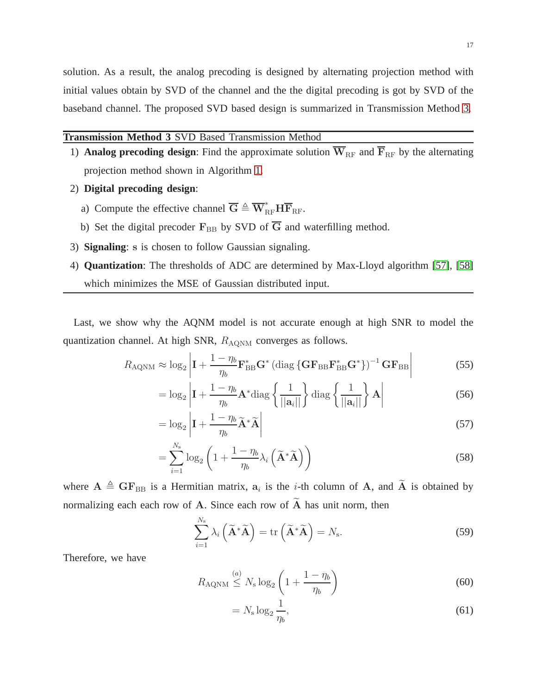solution. As a result, the analog precoding is designed by alternating projection method with initial values obtain by SVD of the channel and the the digital precoding is got by SVD of the baseband channel. The proposed SVD based design is summarized in Transmission Method [3.](#page-16-0)

<span id="page-16-0"></span>

| <b>Transmission Method 3 SVD Based Transmission Method</b> |
|------------------------------------------------------------|
|------------------------------------------------------------|

- 1) **Analog precoding design**: Find the approximate solution  $\overline{W}_{RF}$  and  $\overline{F}_{RF}$  by the alternating projection method shown in Algorithm [1.](#page-10-0)
- 2) **Digital precoding design**:
	- a) Compute the effective channel  $\overline{G} \triangleq \overline{W}_{RF}^* H \overline{F}_{RF}$ .
	- b) Set the digital precoder  $F_{BB}$  by SVD of  $\overline{G}$  and waterfilling method.
- 3) **Signaling**: s is chosen to follow Gaussian signaling.
- 4) **Quantization**: The thresholds of ADC are determined by Max-Lloyd algorithm [\[57\]](#page-29-5), [\[58\]](#page-29-6) which minimizes the MSE of Gaussian distributed input.

Last, we show why the AQNM model is not accurate enough at high SNR to model the quantization channel. At high SNR,  $R_{\text{AQNM}}$  converges as follows.

$$
R_{\text{AQNM}} \approx \log_2 \left| \mathbf{I} + \frac{1 - \eta_b}{\eta_b} \mathbf{F}_{\text{BB}}^* \mathbf{G}^* \left( \text{diag} \left\{ \mathbf{G} \mathbf{F}_{\text{BB}} \mathbf{F}_{\text{BB}}^* \mathbf{G}^* \right\} \right)^{-1} \mathbf{G} \mathbf{F}_{\text{BB}} \right| \tag{55}
$$

$$
= \log_2 \left| \mathbf{I} + \frac{1 - \eta_b}{\eta_b} \mathbf{A}^* \text{diag}\left\{ \frac{1}{||\mathbf{a}_i||} \right\} \text{diag}\left\{ \frac{1}{||\mathbf{a}_i||} \right\} \mathbf{A} \right| \tag{56}
$$

$$
= \log_2 \left| \mathbf{I} + \frac{1 - \eta_b}{\eta_b} \widetilde{\mathbf{A}}^* \widetilde{\mathbf{A}} \right| \tag{57}
$$

$$
=\sum_{i=1}^{N_{\rm s}}\log_2\left(1+\frac{1-\eta_b}{\eta_b}\lambda_i\left(\widetilde{\mathbf{A}}^*\widetilde{\mathbf{A}}\right)\right) \tag{58}
$$

where  $A \triangleq GF_{BB}$  is a Hermitian matrix,  $a_i$  is the *i*-th column of A, and  $\widetilde{A}$  is obtained by normalizing each each row of A. Since each row of  $\widetilde{A}$  has unit norm, then

$$
\sum_{i=1}^{N_{\rm s}} \lambda_i \left( \widetilde{\mathbf{A}}^* \widetilde{\mathbf{A}} \right) = \text{tr} \left( \widetilde{\mathbf{A}}^* \widetilde{\mathbf{A}} \right) = N_{\rm s}.
$$
 (59)

Therefore, we have

$$
R_{\text{AQNM}} \leq N_{\text{s}} \log_2 \left( 1 + \frac{1 - \eta_b}{\eta_b} \right) \tag{60}
$$

$$
= N_{\rm s} \log_2 \frac{1}{\eta_b},\tag{61}
$$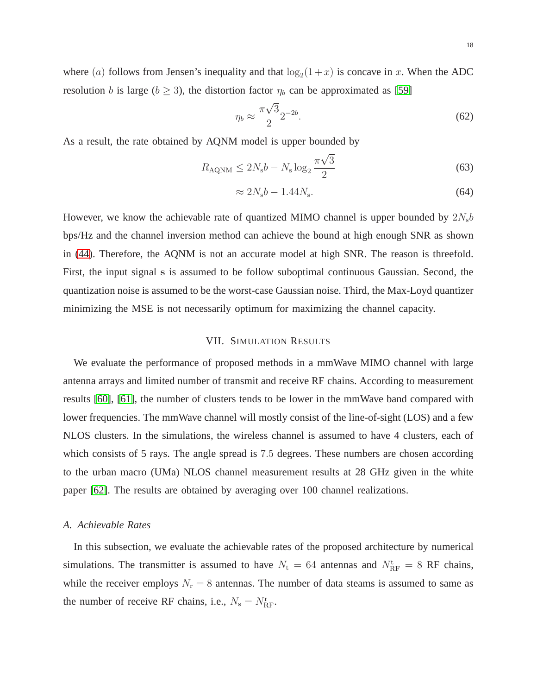where (*a*) follows from Jensen's inequality and that  $\log_2(1+x)$  is concave in x. When the ADC resolution b is large ( $b \ge 3$ ), the distortion factor  $\eta_b$  can be approximated as [\[59\]](#page-29-7)

$$
\eta_b \approx \frac{\pi\sqrt{3}}{2} 2^{-2b}.\tag{62}
$$

As a result, the rate obtained by AQNM model is upper bounded by

$$
R_{\text{AQNM}} \le 2N_{\text{s}}b - N_{\text{s}}\log_2\frac{\pi\sqrt{3}}{2} \tag{63}
$$

$$
\approx 2N_{\rm s}b - 1.44N_{\rm s}.\tag{64}
$$

However, we know the achievable rate of quantized MIMO channel is upper bounded by  $2N_s b$ bps/Hz and the channel inversion method can achieve the bound at high enough SNR as shown in [\(44\)](#page-14-0). Therefore, the AQNM is not an accurate model at high SNR. The reason is threefold. First, the input signal s is assumed to be follow suboptimal continuous Gaussian. Second, the quantization noise is assumed to be the worst-case Gaussian noise. Third, the Max-Loyd quantizer minimizing the MSE is not necessarily optimum for maximizing the channel capacity.

#### VII. SIMULATION RESULTS

We evaluate the performance of proposed methods in a mmWave MIMO channel with large antenna arrays and limited number of transmit and receive RF chains. According to measurement results [\[60\]](#page-29-8), [\[61\]](#page-29-9), the number of clusters tends to be lower in the mmWave band compared with lower frequencies. The mmWave channel will mostly consist of the line-of-sight (LOS) and a few NLOS clusters. In the simulations, the wireless channel is assumed to have 4 clusters, each of which consists of 5 rays. The angle spread is 7.5 degrees. These numbers are chosen according to the urban macro (UMa) NLOS channel measurement results at 28 GHz given in the white paper [\[62\]](#page-29-10). The results are obtained by averaging over 100 channel realizations.

#### *A. Achievable Rates*

In this subsection, we evaluate the achievable rates of the proposed architecture by numerical simulations. The transmitter is assumed to have  $N_t = 64$  antennas and  $N_{RF}^t = 8$  RF chains, while the receiver employs  $N_r = 8$  antennas. The number of data steams is assumed to same as the number of receive RF chains, i.e.,  $N_s = N_{\text{RF}}^r$ .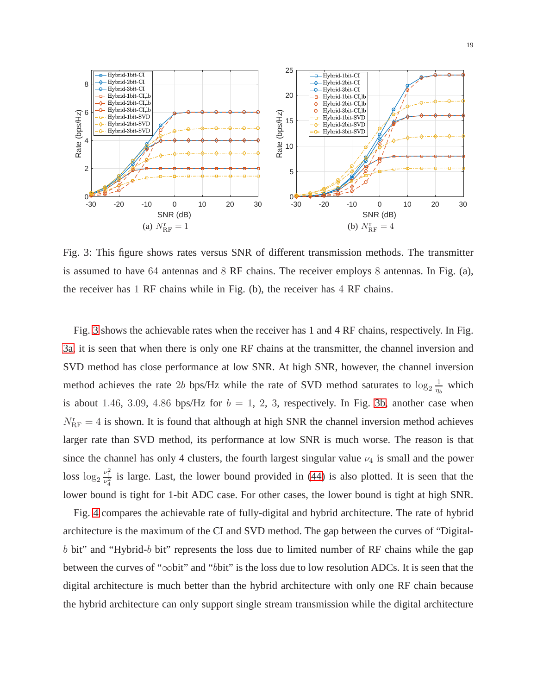<span id="page-18-0"></span>

Fig. 3: This figure shows rates versus SNR of different transmission methods. The transmitter is assumed to have 64 antennas and 8 RF chains. The receiver employs 8 antennas. In Fig. (a), the receiver has 1 RF chains while in Fig. (b), the receiver has 4 RF chains.

Fig. [3](#page-18-0) shows the achievable rates when the receiver has 1 and 4 RF chains, respectively. In Fig. [3a,](#page-18-0) it is seen that when there is only one RF chains at the transmitter, the channel inversion and SVD method has close performance at low SNR. At high SNR, however, the channel inversion method achieves the rate 2b bps/Hz while the rate of SVD method saturates to  $\log_2 \frac{1}{n}$  $\frac{1}{\eta_b}$  which is about 1.46, 3.09, 4.86 bps/Hz for  $b = 1, 2, 3$ , respectively. In Fig. [3b,](#page-18-0) another case when  $N_{\rm RF}^{\rm r} = 4$  is shown. It is found that although at high SNR the channel inversion method achieves larger rate than SVD method, its performance at low SNR is much worse. The reason is that since the channel has only 4 clusters, the fourth largest singular value  $\nu_4$  is small and the power loss  $\log_2 \frac{\nu_1^2}{\nu_4^2}$  is large. Last, the lower bound provided in [\(44\)](#page-14-0) is also plotted. It is seen that the lower bound is tight for 1-bit ADC case. For other cases, the lower bound is tight at high SNR.

Fig. [4](#page-19-0) compares the achievable rate of fully-digital and hybrid architecture. The rate of hybrid architecture is the maximum of the CI and SVD method. The gap between the curves of "Digitalb bit" and "Hybrid-b bit" represents the loss due to limited number of RF chains while the gap between the curves of "∞bit" and "bbit" is the loss due to low resolution ADCs. It is seen that the digital architecture is much better than the hybrid architecture with only one RF chain because the hybrid architecture can only support single stream transmission while the digital architecture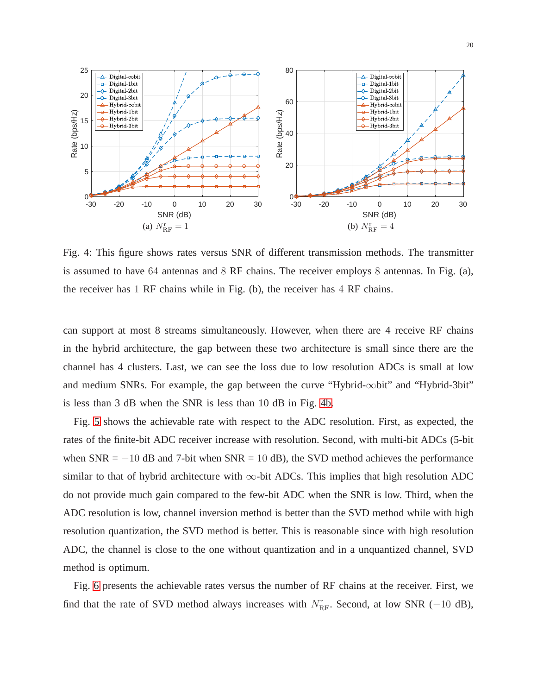<span id="page-19-0"></span>

Fig. 4: This figure shows rates versus SNR of different transmission methods. The transmitter is assumed to have 64 antennas and 8 RF chains. The receiver employs 8 antennas. In Fig. (a), the receiver has 1 RF chains while in Fig. (b), the receiver has 4 RF chains.

can support at most 8 streams simultaneously. However, when there are 4 receive RF chains in the hybrid architecture, the gap between these two architecture is small since there are the channel has 4 clusters. Last, we can see the loss due to low resolution ADCs is small at low and medium SNRs. For example, the gap between the curve "Hybrid-∞bit" and "Hybrid-3bit" is less than 3 dB when the SNR is less than 10 dB in Fig. [4b.](#page-19-0)

Fig. [5](#page-20-0) shows the achievable rate with respect to the ADC resolution. First, as expected, the rates of the finite-bit ADC receiver increase with resolution. Second, with multi-bit ADCs (5-bit when  $SNR = -10$  dB and 7-bit when  $SNR = 10$  dB), the SVD method achieves the performance similar to that of hybrid architecture with  $\infty$ -bit ADCs. This implies that high resolution ADC do not provide much gain compared to the few-bit ADC when the SNR is low. Third, when the ADC resolution is low, channel inversion method is better than the SVD method while with high resolution quantization, the SVD method is better. This is reasonable since with high resolution ADC, the channel is close to the one without quantization and in a unquantized channel, SVD method is optimum.

Fig. [6](#page-21-0) presents the achievable rates versus the number of RF chains at the receiver. First, we find that the rate of SVD method always increases with  $N_{\text{RF}}^{\text{r}}$ . Second, at low SNR (-10 dB),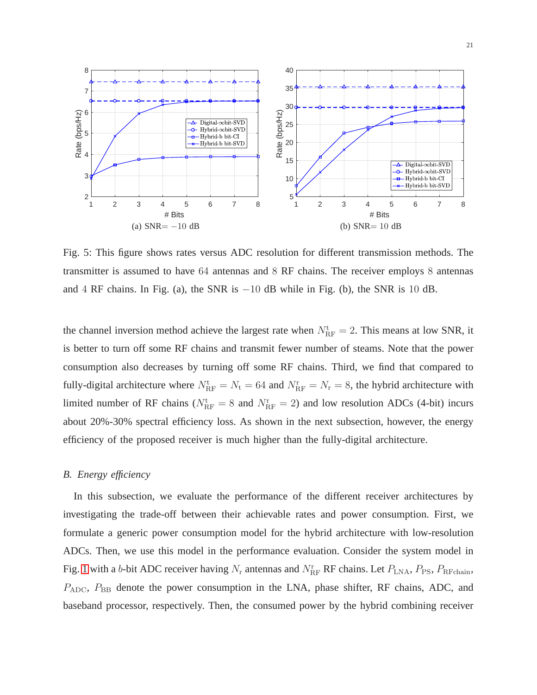<span id="page-20-0"></span>

Fig. 5: This figure shows rates versus ADC resolution for different transmission methods. The transmitter is assumed to have 64 antennas and 8 RF chains. The receiver employs 8 antennas and 4 RF chains. In Fig. (a), the SNR is  $-10$  dB while in Fig. (b), the SNR is 10 dB.

the channel inversion method achieve the largest rate when  $N_{\text{RF}}^{\text{t}} = 2$ . This means at low SNR, it is better to turn off some RF chains and transmit fewer number of steams. Note that the power consumption also decreases by turning off some RF chains. Third, we find that compared to fully-digital architecture where  $N_{\text{RF}}^{\text{t}} = N_{\text{t}} = 64$  and  $N_{\text{RF}}^{\text{r}} = N_{\text{r}} = 8$ , the hybrid architecture with limited number of RF chains ( $N_{\text{RF}}^{\text{t}} = 8$  and  $N_{\text{RF}}^{\text{r}} = 2$ ) and low resolution ADCs (4-bit) incurs about 20%-30% spectral efficiency loss. As shown in the next subsection, however, the energy efficiency of the proposed receiver is much higher than the fully-digital architecture.

# *B. Energy efficiency*

In this subsection, we evaluate the performance of the different receiver architectures by investigating the trade-off between their achievable rates and power consumption. First, we formulate a generic power consumption model for the hybrid architecture with low-resolution ADCs. Then, we use this model in the performance evaluation. Consider the system model in Fig. [1](#page-4-0) with a b-bit ADC receiver having  $N_r$  antennas and  $N_{\rm RF}^{\rm r}$  RF chains. Let  $P_{\rm LNA}$ ,  $P_{\rm PS}$ ,  $P_{\rm RF chain}$ ,  $P_{ADC}$ ,  $P_{BB}$  denote the power consumption in the LNA, phase shifter, RF chains, ADC, and baseband processor, respectively. Then, the consumed power by the hybrid combining receiver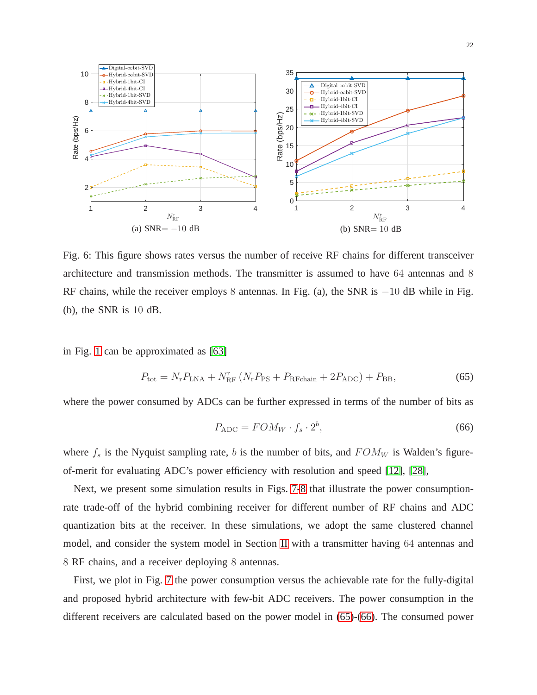<span id="page-21-0"></span>

Fig. 6: This figure shows rates versus the number of receive RF chains for different transceiver architecture and transmission methods. The transmitter is assumed to have 64 antennas and 8 RF chains, while the receiver employs 8 antennas. In Fig. (a), the SNR is −10 dB while in Fig. (b), the SNR is 10 dB.

in Fig. [1](#page-4-0) can be approximated as [\[63\]](#page-29-11)

<span id="page-21-1"></span>
$$
P_{\text{tot}} = N_{\text{r}} P_{\text{LNA}} + N_{\text{RF}}^{\text{r}} \left( N_{\text{r}} P_{\text{PS}} + P_{\text{RFchain}} + 2 P_{\text{ADC}} \right) + P_{\text{BB}},\tag{65}
$$

where the power consumed by ADCs can be further expressed in terms of the number of bits as

<span id="page-21-2"></span>
$$
P_{\rm ADC} = FOM_W \cdot f_s \cdot 2^b,\tag{66}
$$

where  $f_s$  is the Nyquist sampling rate, b is the number of bits, and  $FOM_W$  is Walden's figureof-merit for evaluating ADC's power efficiency with resolution and speed [\[12\]](#page-27-2), [\[28\]](#page-27-17),

Next, we present some simulation results in Figs. [7-](#page-22-0)[8](#page-23-0) that illustrate the power consumptionrate trade-off of the hybrid combining receiver for different number of RF chains and ADC quantization bits at the receiver. In these simulations, we adopt the same clustered channel model, and consider the system model in Section [II](#page-4-1) with a transmitter having 64 antennas and 8 RF chains, and a receiver deploying 8 antennas.

First, we plot in Fig. [7](#page-22-0) the power consumption versus the achievable rate for the fully-digital and proposed hybrid architecture with few-bit ADC receivers. The power consumption in the different receivers are calculated based on the power model in [\(65\)](#page-21-1)-[\(66\)](#page-21-2). The consumed power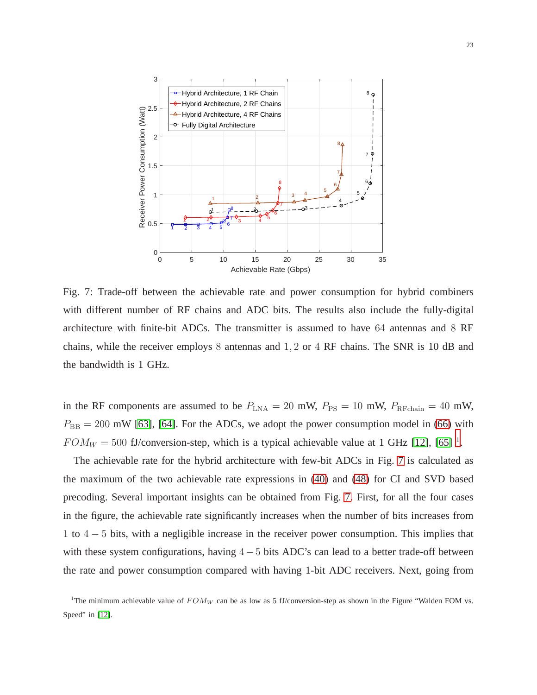<span id="page-22-0"></span>

Fig. 7: Trade-off between the achievable rate and power consumption for hybrid combiners with different number of RF chains and ADC bits. The results also include the fully-digital architecture with finite-bit ADCs. The transmitter is assumed to have 64 antennas and 8 RF chains, while the receiver employs 8 antennas and 1, 2 or 4 RF chains. The SNR is 10 dB and the bandwidth is 1 GHz.

in the RF components are assumed to be  $P_{\text{LNA}} = 20$  mW,  $P_{\text{PS}} = 10$  mW,  $P_{\text{RFchain}} = 40$  mW,  $P_{\text{BB}} = 200 \text{ mW}$  [\[63\]](#page-29-11), [\[64\]](#page-29-12). For the ADCs, we adopt the power consumption model in [\(66\)](#page-21-2) with  $FOM_W = 500$  fJ/conversion-step, which is a typical achievable value at 1 GHz [\[12\]](#page-27-2), [\[65\]](#page-29-13)<sup>[1](#page-22-1)</sup>.

The achievable rate for the hybrid architecture with few-bit ADCs in Fig. [7](#page-22-0) is calculated as the maximum of the two achievable rate expressions in [\(40\)](#page-13-2) and [\(48\)](#page-15-0) for CI and SVD based precoding. Several important insights can be obtained from Fig. [7.](#page-22-0) First, for all the four cases in the figure, the achievable rate significantly increases when the number of bits increases from 1 to 4 − 5 bits, with a negligible increase in the receiver power consumption. This implies that with these system configurations, having  $4-5$  bits ADC's can lead to a better trade-off between the rate and power consumption compared with having 1-bit ADC receivers. Next, going from

<span id="page-22-1"></span><sup>&</sup>lt;sup>1</sup>The minimum achievable value of  $FOM_W$  can be as low as 5 fJ/conversion-step as shown in the Figure "Walden FOM vs. Speed" in [\[12\]](#page-27-2).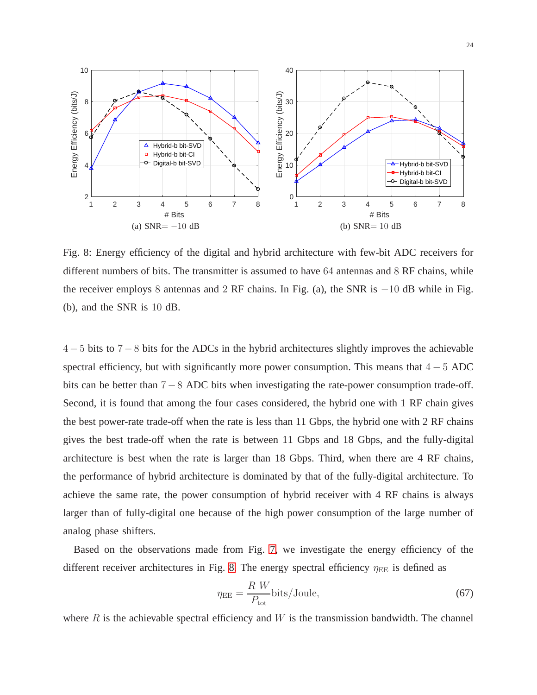<span id="page-23-0"></span>

Fig. 8: Energy efficiency of the digital and hybrid architecture with few-bit ADC receivers for different numbers of bits. The transmitter is assumed to have 64 antennas and 8 RF chains, while the receiver employs 8 antennas and 2 RF chains. In Fig. (a), the SNR is −10 dB while in Fig. (b), and the SNR is 10 dB.

4−5 bits to 7−8 bits for the ADCs in the hybrid architectures slightly improves the achievable spectral efficiency, but with significantly more power consumption. This means that  $4 - 5$  ADC bits can be better than 7−8 ADC bits when investigating the rate-power consumption trade-off. Second, it is found that among the four cases considered, the hybrid one with 1 RF chain gives the best power-rate trade-off when the rate is less than 11 Gbps, the hybrid one with 2 RF chains gives the best trade-off when the rate is between 11 Gbps and 18 Gbps, and the fully-digital architecture is best when the rate is larger than 18 Gbps. Third, when there are 4 RF chains, the performance of hybrid architecture is dominated by that of the fully-digital architecture. To achieve the same rate, the power consumption of hybrid receiver with 4 RF chains is always larger than of fully-digital one because of the high power consumption of the large number of analog phase shifters.

Based on the observations made from Fig. [7,](#page-22-0) we investigate the energy efficiency of the different receiver architectures in Fig. [8.](#page-23-0) The energy spectral efficiency  $\eta_{EE}$  is defined as

$$
\eta_{\rm EE} = \frac{R W}{P_{\rm tot}} \text{bits/Joule},\tag{67}
$$

where  $R$  is the achievable spectral efficiency and  $W$  is the transmission bandwidth. The channel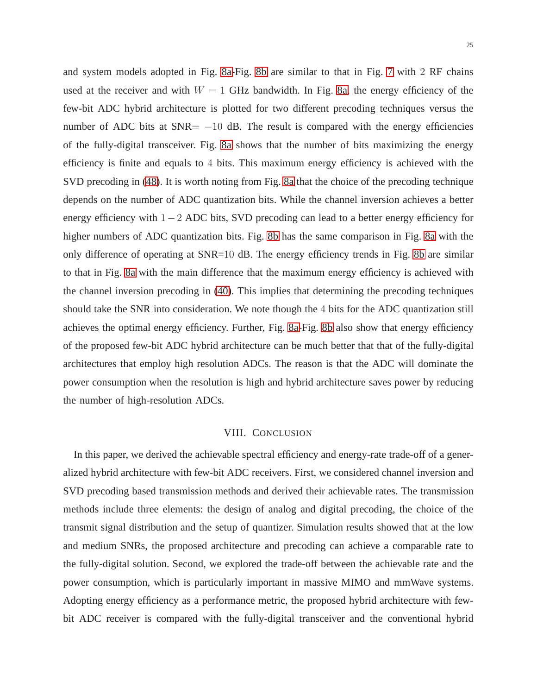and system models adopted in Fig. [8a-](#page-23-0)Fig. [8b](#page-23-0) are similar to that in Fig. [7](#page-22-0) with 2 RF chains used at the receiver and with  $W = 1$  GHz bandwidth. In Fig. [8a,](#page-23-0) the energy efficiency of the few-bit ADC hybrid architecture is plotted for two different precoding techniques versus the number of ADC bits at  $SNR = -10$  dB. The result is compared with the energy efficiencies of the fully-digital transceiver. Fig. [8a](#page-23-0) shows that the number of bits maximizing the energy efficiency is finite and equals to 4 bits. This maximum energy efficiency is achieved with the SVD precoding in [\(48\)](#page-15-0). It is worth noting from Fig. [8a](#page-23-0) that the choice of the precoding technique depends on the number of ADC quantization bits. While the channel inversion achieves a better energy efficiency with 1−2 ADC bits, SVD precoding can lead to a better energy efficiency for higher numbers of ADC quantization bits. Fig. [8b](#page-23-0) has the same comparison in Fig. [8a](#page-23-0) with the only difference of operating at SNR=10 dB. The energy efficiency trends in Fig. [8b](#page-23-0) are similar to that in Fig. [8a](#page-23-0) with the main difference that the maximum energy efficiency is achieved with the channel inversion precoding in [\(40\)](#page-13-2). This implies that determining the precoding techniques should take the SNR into consideration. We note though the 4 bits for the ADC quantization still achieves the optimal energy efficiency. Further, Fig. [8a-](#page-23-0)Fig. [8b](#page-23-0) also show that energy efficiency of the proposed few-bit ADC hybrid architecture can be much better that that of the fully-digital architectures that employ high resolution ADCs. The reason is that the ADC will dominate the power consumption when the resolution is high and hybrid architecture saves power by reducing the number of high-resolution ADCs.

# VIII. CONCLUSION

In this paper, we derived the achievable spectral efficiency and energy-rate trade-off of a generalized hybrid architecture with few-bit ADC receivers. First, we considered channel inversion and SVD precoding based transmission methods and derived their achievable rates. The transmission methods include three elements: the design of analog and digital precoding, the choice of the transmit signal distribution and the setup of quantizer. Simulation results showed that at the low and medium SNRs, the proposed architecture and precoding can achieve a comparable rate to the fully-digital solution. Second, we explored the trade-off between the achievable rate and the power consumption, which is particularly important in massive MIMO and mmWave systems. Adopting energy efficiency as a performance metric, the proposed hybrid architecture with fewbit ADC receiver is compared with the fully-digital transceiver and the conventional hybrid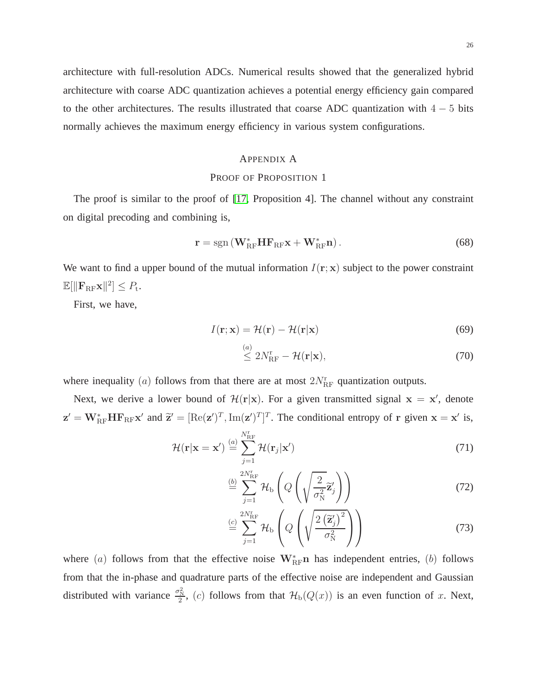architecture with full-resolution ADCs. Numerical results showed that the generalized hybrid architecture with coarse ADC quantization achieves a potential energy efficiency gain compared to the other architectures. The results illustrated that coarse ADC quantization with  $4 - 5$  bits normally achieves the maximum energy efficiency in various system configurations.

# APPENDIX A

#### PROOF OF PROPOSITION 1

The proof is similar to the proof of [\[17,](#page-27-7) Proposition 4]. The channel without any constraint on digital precoding and combining is,

$$
\mathbf{r} = \text{sgn}\left(\mathbf{W}_{\text{RF}}^* \mathbf{H} \mathbf{F}_{\text{RF}} \mathbf{x} + \mathbf{W}_{\text{RF}}^* \mathbf{n}\right). \tag{68}
$$

We want to find a upper bound of the mutual information  $I(r; x)$  subject to the power constraint  $\mathbb{E}[\|\mathbf{F}_{\text{RF}}\mathbf{x}\|^2] \leq P_{\text{t}}.$ 

First, we have,

$$
I(\mathbf{r}; \mathbf{x}) = \mathcal{H}(\mathbf{r}) - \mathcal{H}(\mathbf{r}|\mathbf{x})
$$
\n(69)

$$
\stackrel{(a)}{\leq} 2N_{\text{RF}}^{\text{r}} - \mathcal{H}(\mathbf{r}|\mathbf{x}),\tag{70}
$$

where inequality (*a*) follows from that there are at most  $2N_{\text{RF}}^{\text{r}}$  quantization outputs.

Next, we derive a lower bound of  $\mathcal{H}(\mathbf{r}|\mathbf{x})$ . For a given transmitted signal  $\mathbf{x} = \mathbf{x}'$ , denote  $\mathbf{z}' = \mathbf{W}_{\text{RF}}^* \mathbf{H} \mathbf{F}_{\text{RF}} \mathbf{x}'$  and  $\tilde{\mathbf{z}}' = [\text{Re}(\mathbf{z}')^T, \text{Im}(\mathbf{z}')^T]^T$ . The conditional entropy of r given  $\mathbf{x} = \mathbf{x}'$  is,

$$
\mathcal{H}(\mathbf{r}|\mathbf{x}=\mathbf{x}') \stackrel{(a)}{=} \sum_{j=1}^{N_{\text{RF}}^{*}} \mathcal{H}(\mathbf{r}_{j}|\mathbf{x}') \tag{71}
$$

$$
\stackrel{(b)}{=} \sum_{j=1}^{2N_{\text{RF}}^{r}} \mathcal{H}_{\text{b}}\left(Q\left(\sqrt{\frac{2}{\sigma_{\text{N}}^{2}}}\widetilde{\mathbf{z}}_{j}^{\prime}\right)\right) \tag{72}
$$

$$
\stackrel{(c)}{=} \sum_{j=1}^{2N_{\text{RF}}^{r}} \mathcal{H}_{\text{b}}\left(Q\left(\sqrt{\frac{2\left(\widetilde{\mathbf{z}}_{j}^{\prime}\right)^{2}}{\sigma_{\text{N}}^{2}}}\right)\right) \tag{73}
$$

where (a) follows from that the effective noise  $W^*_{\text{RF}}$ n has independent entries, (b) follows from that the in-phase and quadrature parts of the effective noise are independent and Gaussian distributed with variance  $\frac{\sigma_N^2}{2}$ , (c) follows from that  $\mathcal{H}_b(Q(x))$  is an even function of x. Next,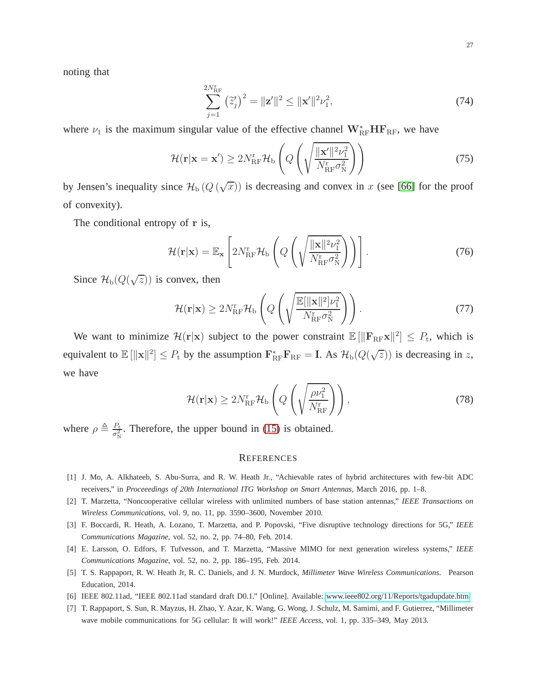noting that

$$
\sum_{j=1}^{2N_{\text{RF}}^{T}} \left(\tilde{z}_{j}'\right)^{2} = \|\mathbf{z}'\|^{2} \le \|\mathbf{x}'\|^{2} \nu_{1}^{2},\tag{74}
$$

where  $\nu_1$  is the maximum singular value of the effective channel  $\mathbf{W}_{\text{RF}}^* \mathbf{H} \mathbf{F}_{\text{RF}}$ , we have

$$
\mathcal{H}(\mathbf{r}|\mathbf{x}=\mathbf{x}') \ge 2N_{\text{RF}}^{\text{r}}\mathcal{H}_{\text{b}}\left(Q\left(\sqrt{\frac{\|\mathbf{x}'\|^2 \nu_1^2}{N_{\text{RF}}^{\text{r}} \sigma_N^2}}\right)\right) \tag{75}
$$

by Jensen's inequality since  $\mathcal{H}_{b}(Q(\sqrt{x}))$  is decreasing and convex in x (see [\[66\]](#page-29-14) for the proof of convexity).

The conditional entropy of r is,

$$
\mathcal{H}(\mathbf{r}|\mathbf{x}) = \mathbb{E}_{\mathbf{x}} \left[ 2N_{\text{RF}}^{\text{r}} \mathcal{H}_{\text{b}} \left( Q \left( \sqrt{\frac{\|\mathbf{x}\|^{2} \nu_{1}^{2}}{N_{\text{RF}}^{\text{r}} \sigma_{\text{N}}^{2}}} \right) \right) \right].
$$
 (76)

Since  $\mathcal{H}_b(Q(\sqrt{z}))$  is convex, then

$$
\mathcal{H}(\mathbf{r}|\mathbf{x}) \ge 2N_{\text{RF}}^{\text{r}} \mathcal{H}_{\text{b}}\left(Q\left(\sqrt{\frac{\mathbb{E}[\|\mathbf{x}\|^{2}|\nu_{1}^{2}}{N_{\text{RF}}^{\text{r}} \sigma_{\text{N}}^{2}}}\right)\right).
$$
\n(77)

We want to minimize  $\mathcal{H}(\mathbf{r}|\mathbf{x})$  subject to the power constraint  $\mathbb{E}[\|\mathbf{F}_{\text{RF}}\mathbf{x}\|^2] \leq P_t$ , which is equivalent to  $\mathbb{E}[\|\mathbf{x}\|^2] \leq P_t$  by the assumption  $\mathbf{F}_{RF}^* \mathbf{F}_{RF} = \mathbf{I}$ . As  $\mathcal{H}_b(Q(\sqrt{z}))$  is decreasing in z, we have

$$
\mathcal{H}(\mathbf{r}|\mathbf{x}) \ge 2N_{\text{RF}}^{\text{r}} \mathcal{H}_{\text{b}}\left(Q\left(\sqrt{\frac{\rho v_1^2}{N_{\text{RF}}^{\text{r}}}}\right)\right),\tag{78}
$$

where  $\rho \triangleq \frac{P_t}{\sigma^2}$  $\frac{P_{\rm t}}{\sigma_{\rm N}^2}$ . Therefore, the upper bound in [\(15\)](#page-7-0) is obtained.

## **REFERENCES**

- <span id="page-26-1"></span><span id="page-26-0"></span>[1] J. Mo, A. Alkhateeb, S. Abu-Surra, and R. W. Heath Jr., "Achievable rates of hybrid architectures with few-bit ADC receivers," in *Proceeedings of 20th International ITG Workshop on Smart Antennas*, March 2016, pp. 1–8.
- <span id="page-26-4"></span>[2] T. Marzetta, "Noncooperative cellular wireless with unlimited numbers of base station antennas," *IEEE Transactions on Wireless Communications*, vol. 9, no. 11, pp. 3590–3600, November 2010.
- <span id="page-26-2"></span>[3] F. Boccardi, R. Heath, A. Lozano, T. Marzetta, and P. Popovski, "Five disruptive technology directions for 5G," *IEEE Communications Magazine*, vol. 52, no. 2, pp. 74–80, Feb. 2014.
- <span id="page-26-3"></span>[4] E. Larsson, O. Edfors, F. Tufvesson, and T. Marzetta, "Massive MIMO for next generation wireless systems," *IEEE Communications Magazine*, vol. 52, no. 2, pp. 186–195, Feb. 2014.
- <span id="page-26-5"></span>[5] T. S. Rappaport, R. W. Heath Jr, R. C. Daniels, and J. N. Murdock, *Millimeter Wave Wireless Communications*. Pearson Education, 2014.
- [6] IEEE 802.11ad, "IEEE 802.11ad standard draft D0.1." [Online]. Available: [www.ieee802.org/11/Reports/tgadupdate.htm](www.ieee802.org/11/Reports/tgad update.htm)
- [7] T. Rappaport, S. Sun, R. Mayzus, H. Zhao, Y. Azar, K. Wang, G. Wong, J. Schulz, M. Samimi, and F. Gutierrez, "Millimeter wave mobile communications for 5G cellular: It will work!" *IEEE Access*, vol. 1, pp. 335–349, May 2013.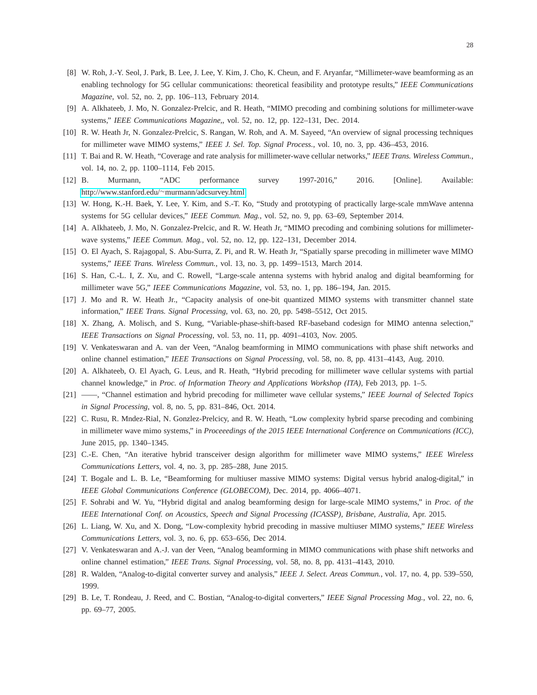- [8] W. Roh, J.-Y. Seol, J. Park, B. Lee, J. Lee, Y. Kim, J. Cho, K. Cheun, and F. Aryanfar, "Millimeter-wave beamforming as an enabling technology for 5G cellular communications: theoretical feasibility and prototype results," *IEEE Communications Magazine*, vol. 52, no. 2, pp. 106–113, February 2014.
- <span id="page-27-0"></span>[9] A. Alkhateeb, J. Mo, N. Gonzalez-Prelcic, and R. Heath, "MIMO precoding and combining solutions for millimeter-wave systems," *IEEE Communications Magazine,*, vol. 52, no. 12, pp. 122–131, Dec. 2014.
- <span id="page-27-1"></span>[10] R. W. Heath Jr, N. Gonzalez-Prelcic, S. Rangan, W. Roh, and A. M. Sayeed, "An overview of signal processing techniques for millimeter wave MIMO systems," *IEEE J. Sel. Top. Signal Process.*, vol. 10, no. 3, pp. 436–453, 2016.
- <span id="page-27-2"></span>[11] T. Bai and R. W. Heath, "Coverage and rate analysis for millimeter-wave cellular networks," *IEEE Trans. Wireless Commun.*, vol. 14, no. 2, pp. 1100–1114, Feb 2015.
- <span id="page-27-3"></span>[12] B. Murmann, "ADC performance survey 1997-2016," 2016. [Online]. Available: http://www.stanford.edu/∼[murmann/adcsurvey.html](http://www.stanford.edu/~murmann/adcsurvey.html)
- <span id="page-27-4"></span>[13] W. Hong, K.-H. Baek, Y. Lee, Y. Kim, and S.-T. Ko, "Study and prototyping of practically large-scale mmWave antenna systems for 5G cellular devices," *IEEE Commun. Mag.*, vol. 52, no. 9, pp. 63–69, September 2014.
- <span id="page-27-5"></span>[14] A. Alkhateeb, J. Mo, N. Gonzalez-Prelcic, and R. W. Heath Jr, "MIMO precoding and combining solutions for millimeterwave systems," *IEEE Commun. Mag.*, vol. 52, no. 12, pp. 122–131, December 2014.
- <span id="page-27-6"></span>[15] O. El Ayach, S. Rajagopal, S. Abu-Surra, Z. Pi, and R. W. Heath Jr, "Spatially sparse precoding in millimeter wave MIMO systems," *IEEE Trans. Wireless Commun.*, vol. 13, no. 3, pp. 1499–1513, March 2014.
- <span id="page-27-7"></span>[16] S. Han, C.-L. I, Z. Xu, and C. Rowell, "Large-scale antenna systems with hybrid analog and digital beamforming for millimeter wave 5G," *IEEE Communications Magazine*, vol. 53, no. 1, pp. 186–194, Jan. 2015.
- <span id="page-27-8"></span>[17] J. Mo and R. W. Heath Jr., "Capacity analysis of one-bit quantized MIMO systems with transmitter channel state information," *IEEE Trans. Signal Processing*, vol. 63, no. 20, pp. 5498–5512, Oct 2015.
- <span id="page-27-10"></span>[18] X. Zhang, A. Molisch, and S. Kung, "Variable-phase-shift-based RF-baseband codesign for MIMO antenna selection," *IEEE Transactions on Signal Processing*, vol. 53, no. 11, pp. 4091–4103, Nov. 2005.
- <span id="page-27-11"></span>[19] V. Venkateswaran and A. van der Veen, "Analog beamforming in MIMO communications with phase shift networks and online channel estimation," *IEEE Transactions on Signal Processing*, vol. 58, no. 8, pp. 4131–4143, Aug. 2010.
- <span id="page-27-12"></span>[20] A. Alkhateeb, O. El Ayach, G. Leus, and R. Heath, "Hybrid precoding for millimeter wave cellular systems with partial channel knowledge," in *Proc. of Information Theory and Applications Workshop (ITA)*, Feb 2013, pp. 1–5.
- <span id="page-27-13"></span>[21] ——, "Channel estimation and hybrid precoding for millimeter wave cellular systems," *IEEE Journal of Selected Topics in Signal Processing*, vol. 8, no. 5, pp. 831–846, Oct. 2014.
- [22] C. Rusu, R. Mndez-Rial, N. Gonzlez-Prelcicy, and R. W. Heath, "Low complexity hybrid sparse precoding and combining in millimeter wave mimo systems," in *Proceeedings of the 2015 IEEE International Conference on Communications (ICC)*, June 2015, pp. 1340–1345.
- <span id="page-27-15"></span><span id="page-27-14"></span>[23] C.-E. Chen, "An iterative hybrid transceiver design algorithm for millimeter wave MIMO systems," *IEEE Wireless Communications Letters*, vol. 4, no. 3, pp. 285–288, June 2015.
- [24] T. Bogale and L. B. Le, "Beamforming for multiuser massive MIMO systems: Digital versus hybrid analog-digital," in *IEEE Global Communications Conference (GLOBECOM)*, Dec. 2014, pp. 4066–4071.
- <span id="page-27-9"></span>[25] F. Sohrabi and W. Yu, "Hybrid digital and analog beamforming design for large-scale MIMO systems," in *Proc. of the IEEE International Conf. on Acoustics, Speech and Signal Processing (ICASSP), Brisbane, Australia*, Apr. 2015.
- <span id="page-27-16"></span>[26] L. Liang, W. Xu, and X. Dong, "Low-complexity hybrid precoding in massive multiuser MIMO systems," *IEEE Wireless Communications Letters*, vol. 3, no. 6, pp. 653–656, Dec 2014.
- <span id="page-27-17"></span>[27] V. Venkateswaran and A.-J. van der Veen, "Analog beamforming in MIMO communications with phase shift networks and online channel estimation," *IEEE Trans. Signal Processing*, vol. 58, no. 8, pp. 4131–4143, 2010.
- <span id="page-27-18"></span>[28] R. Walden, "Analog-to-digital converter survey and analysis," *IEEE J. Select. Areas Commun.*, vol. 17, no. 4, pp. 539–550, 1999.
- [29] B. Le, T. Rondeau, J. Reed, and C. Bostian, "Analog-to-digital converters," *IEEE Signal Processing Mag.*, vol. 22, no. 6, pp. 69–77, 2005.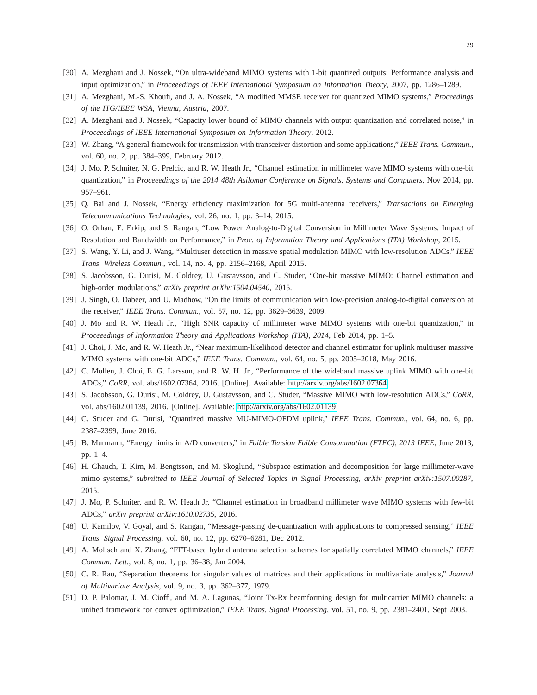- <span id="page-28-18"></span><span id="page-28-0"></span>[30] A. Mezghani and J. Nossek, "On ultra-wideband MIMO systems with 1-bit quantized outputs: Performance analysis and input optimization," in *Proceeedings of IEEE International Symposium on Information Theory*, 2007, pp. 1286–1289.
- <span id="page-28-3"></span>[31] A. Mezghani, M.-S. Khoufi, and J. A. Nossek, "A modified MMSE receiver for quantized MIMO systems," *Proceedings of the ITG/IEEE WSA, Vienna, Austria*, 2007.
- [32] A. Mezghani and J. Nossek, "Capacity lower bound of MIMO channels with output quantization and correlated noise," in *Proceeedings of IEEE International Symposium on Information Theory*, 2012.
- [33] W. Zhang, "A general framework for transmission with transceiver distortion and some applications," *IEEE Trans. Commun.*, vol. 60, no. 2, pp. 384–399, February 2012.
- [34] J. Mo, P. Schniter, N. G. Prelcic, and R. W. Heath Jr., "Channel estimation in millimeter wave MIMO systems with one-bit quantization," in *Proceeedings of the 2014 48th Asilomar Conference on Signals, Systems and Computers*, Nov 2014, pp. 957–961.
- <span id="page-28-5"></span><span id="page-28-4"></span>[35] Q. Bai and J. Nossek, "Energy efficiency maximization for 5G multi-antenna receivers," *Transactions on Emerging Telecommunications Technologies*, vol. 26, no. 1, pp. 3–14, 2015.
- <span id="page-28-7"></span>[36] O. Orhan, E. Erkip, and S. Rangan, "Low Power Analog-to-Digital Conversion in Millimeter Wave Systems: Impact of Resolution and Bandwidth on Performance," in *Proc. of Information Theory and Applications (ITA) Workshop*, 2015.
- <span id="page-28-1"></span>[37] S. Wang, Y. Li, and J. Wang, "Multiuser detection in massive spatial modulation MIMO with low-resolution ADCs," *IEEE Trans. Wireless Commun.*, vol. 14, no. 4, pp. 2156–2168, April 2015.
- <span id="page-28-2"></span>[38] S. Jacobsson, G. Durisi, M. Coldrey, U. Gustavsson, and C. Studer, "One-bit massive MIMO: Channel estimation and high-order modulations," *arXiv preprint arXiv:1504.04540*, 2015.
- <span id="page-28-6"></span>[39] J. Singh, O. Dabeer, and U. Madhow, "On the limits of communication with low-precision analog-to-digital conversion at the receiver," *IEEE Trans. Commun.*, vol. 57, no. 12, pp. 3629–3639, 2009.
- <span id="page-28-8"></span>[40] J. Mo and R. W. Heath Jr., "High SNR capacity of millimeter wave MIMO systems with one-bit quantization," in *Proceeedings of Information Theory and Applications Workshop (ITA), 2014*, Feb 2014, pp. 1–5.
- <span id="page-28-9"></span>[41] J. Choi, J. Mo, and R. W. Heath Jr., "Near maximum-likelihood detector and channel estimator for uplink multiuser massive MIMO systems with one-bit ADCs," *IEEE Trans. Commun.*, vol. 64, no. 5, pp. 2005–2018, May 2016.
- [42] C. Mollen, J. Choi, E. G. Larsson, and R. W. H. Jr., "Performance of the wideband massive uplink MIMO with one-bit ADCs," *CoRR*, vol. abs/1602.07364, 2016. [Online]. Available:<http://arxiv.org/abs/1602.07364>
- <span id="page-28-10"></span>[43] S. Jacobsson, G. Durisi, M. Coldrey, U. Gustavsson, and C. Studer, "Massive MIMO with low-resolution ADCs," *CoRR*, vol. abs/1602.01139, 2016. [Online]. Available:<http://arxiv.org/abs/1602.01139>
- <span id="page-28-11"></span>[44] C. Studer and G. Durisi, "Quantized massive MU-MIMO-OFDM uplink," *IEEE Trans. Commun.*, vol. 64, no. 6, pp. 2387–2399, June 2016.
- <span id="page-28-12"></span>[45] B. Murmann, "Energy limits in A/D converters," in *Faible Tension Faible Consommation (FTFC), 2013 IEEE*, June 2013, pp. 1–4.
- [46] H. Ghauch, T. Kim, M. Bengtsson, and M. Skoglund, "Subspace estimation and decomposition for large millimeter-wave mimo systems," *submitted to IEEE Journal of Selected Topics in Signal Processing, arXiv preprint arXiv:1507.00287*, 2015.
- <span id="page-28-14"></span><span id="page-28-13"></span>[47] J. Mo, P. Schniter, and R. W. Heath Jr, "Channel estimation in broadband millimeter wave MIMO systems with few-bit ADCs," *arXiv preprint arXiv:1610.02735*, 2016.
- <span id="page-28-15"></span>[48] U. Kamilov, V. Goyal, and S. Rangan, "Message-passing de-quantization with applications to compressed sensing," *IEEE Trans. Signal Processing*, vol. 60, no. 12, pp. 6270–6281, Dec 2012.
- <span id="page-28-16"></span>[49] A. Molisch and X. Zhang, "FFT-based hybrid antenna selection schemes for spatially correlated MIMO channels," *IEEE Commun. Lett.*, vol. 8, no. 1, pp. 36–38, Jan 2004.
- <span id="page-28-17"></span>[50] C. R. Rao, "Separation theorems for singular values of matrices and their applications in multivariate analysis," *Journal of Multivariate Analysis*, vol. 9, no. 3, pp. 362–377, 1979.
- [51] D. P. Palomar, J. M. Cioffi, and M. A. Lagunas, "Joint Tx-Rx beamforming design for multicarrier MIMO channels: a unified framework for convex optimization," *IEEE Trans. Signal Processing*, vol. 51, no. 9, pp. 2381–2401, Sept 2003.